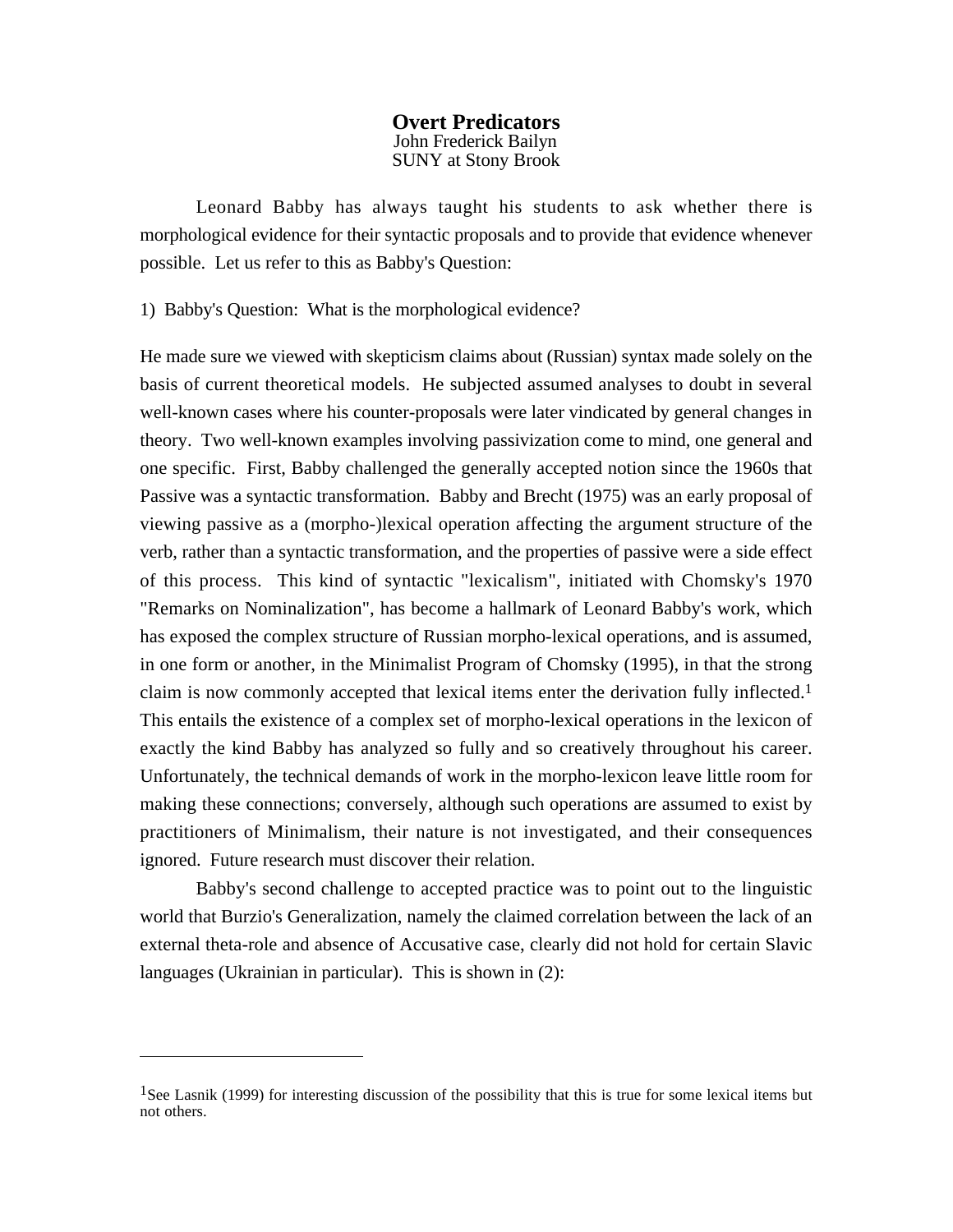## **Overt Predicators** John Frederick Bailyn SUNY at Stony Brook

Leonard Babby has always taught his students to ask whether there is morphological evidence for their syntactic proposals and to provide that evidence whenever possible. Let us refer to this as Babby's Question:

1) Babby's Question: What is the morphological evidence?

He made sure we viewed with skepticism claims about (Russian) syntax made solely on the basis of current theoretical models. He subjected assumed analyses to doubt in several well-known cases where his counter-proposals were later vindicated by general changes in theory. Two well-known examples involving passivization come to mind, one general and one specific. First, Babby challenged the generally accepted notion since the 1960s that Passive was a syntactic transformation. Babby and Brecht (1975) was an early proposal of viewing passive as a (morpho-)lexical operation affecting the argument structure of the verb, rather than a syntactic transformation, and the properties of passive were a side effect of this process. This kind of syntactic "lexicalism", initiated with Chomsky's 1970 "Remarks on Nominalization", has become a hallmark of Leonard Babby's work, which has exposed the complex structure of Russian morpho-lexical operations, and is assumed, in one form or another, in the Minimalist Program of Chomsky (1995), in that the strong claim is now commonly accepted that lexical items enter the derivation fully inflected.1 This entails the existence of a complex set of morpho-lexical operations in the lexicon of exactly the kind Babby has analyzed so fully and so creatively throughout his career. Unfortunately, the technical demands of work in the morpho-lexicon leave little room for making these connections; conversely, although such operations are assumed to exist by practitioners of Minimalism, their nature is not investigated, and their consequences ignored. Future research must discover their relation.

Babby's second challenge to accepted practice was to point out to the linguistic world that Burzio's Generalization, namely the claimed correlation between the lack of an external theta-role and absence of Accusative case, clearly did not hold for certain Slavic languages (Ukrainian in particular). This is shown in (2):

<sup>&</sup>lt;sup>1</sup>See Lasnik (1999) for interesting discussion of the possibility that this is true for some lexical items but not others.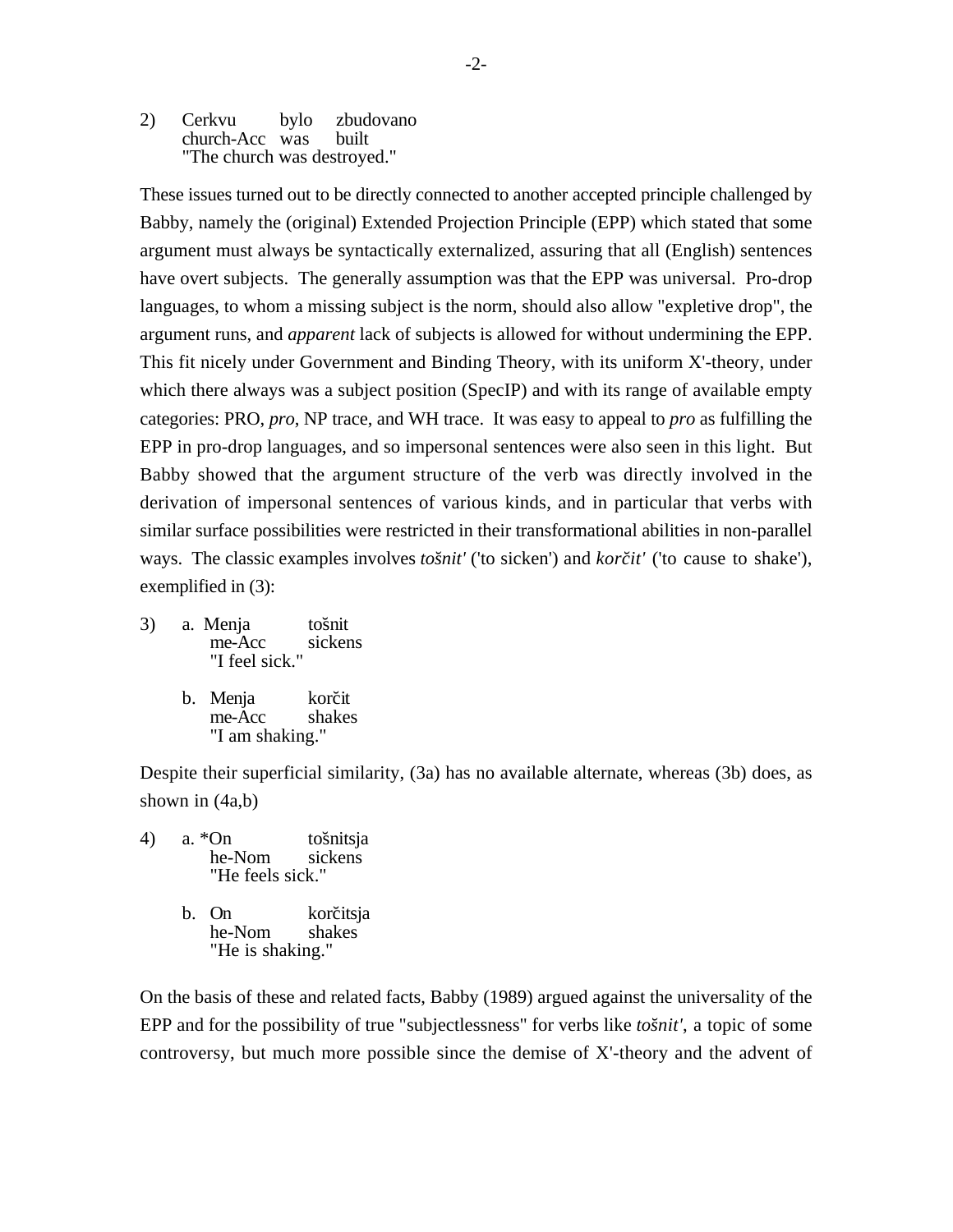2) Cerkvu bylo zbudovano church-Acc was built "The church was destroyed."

These issues turned out to be directly connected to another accepted principle challenged by Babby, namely the (original) Extended Projection Principle (EPP) which stated that some argument must always be syntactically externalized, assuring that all (English) sentences have overt subjects. The generally assumption was that the EPP was universal. Pro-drop languages, to whom a missing subject is the norm, should also allow "expletive drop", the argument runs, and *apparent* lack of subjects is allowed for without undermining the EPP. This fit nicely under Government and Binding Theory, with its uniform X'-theory, under which there always was a subject position (SpecIP) and with its range of available empty categories: PRO, *pro*, NP trace, and WH trace. It was easy to appeal to *pro* as fulfilling the EPP in pro-drop languages, and so impersonal sentences were also seen in this light. But Babby showed that the argument structure of the verb was directly involved in the derivation of impersonal sentences of various kinds, and in particular that verbs with similar surface possibilities were restricted in their transformational abilities in non-parallel ways. The classic examples involves *tošnit'* ('to sicken') and *korčit'* ('to cause to shake'), exemplified in (3):

- 3) a. Menja tošnit<br>me-Acc sickens me-Acc "I feel sick."
	- b. Menja korčit me-Acc shakes "I am shaking."

Despite their superficial similarity, (3a) has no available alternate, whereas (3b) does, as shown in (4a,b)

4) a. \*On tošnitsja<br>he-Nom sickens he-Nom "He feels sick." b. On korčitsja

he-Nom shakes "He is shaking."

On the basis of these and related facts, Babby (1989) argued against the universality of the EPP and for the possibility of true "subjectlessness" for verbs like *tošnit'*, a topic of some controversy, but much more possible since the demise of X'-theory and the advent of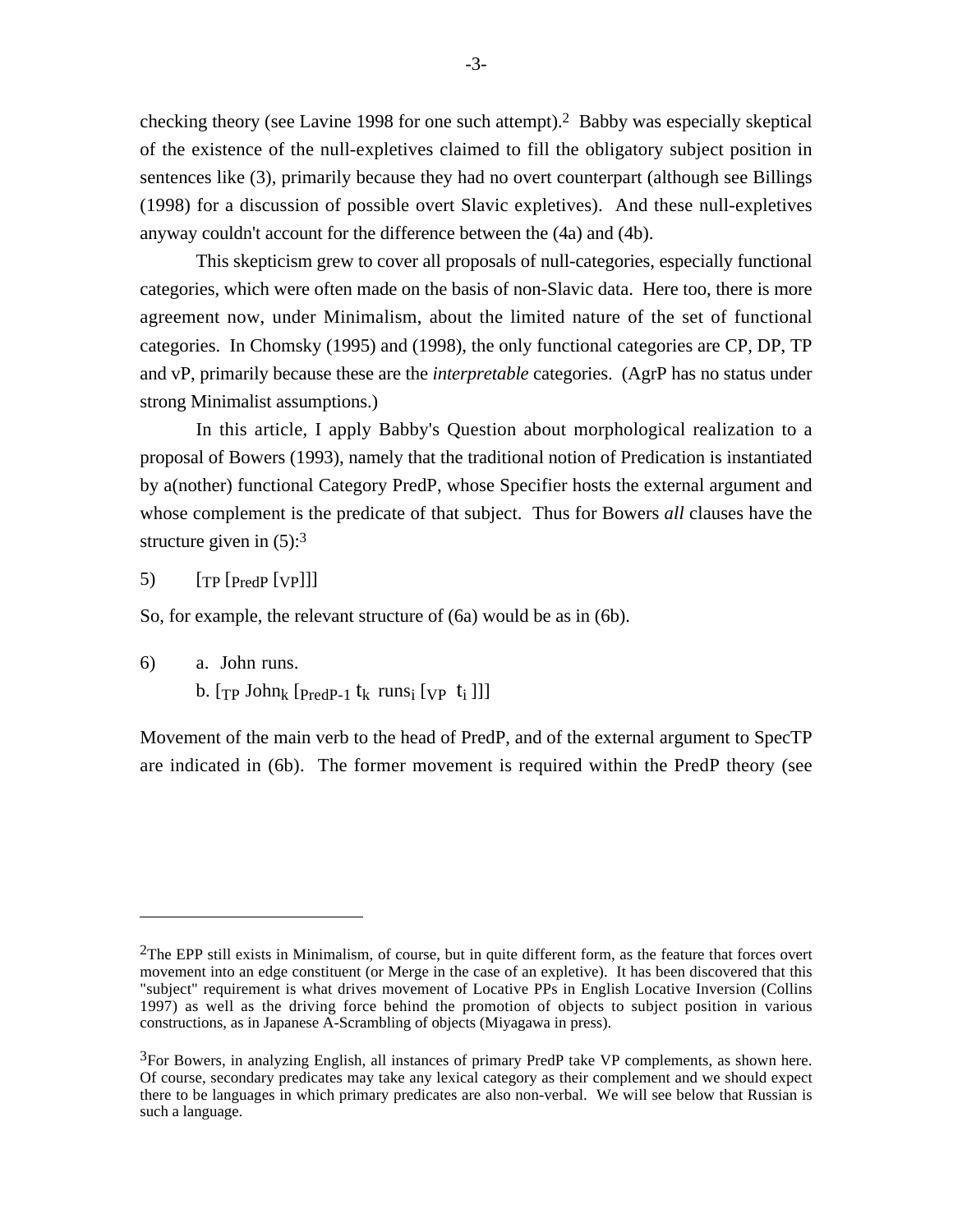checking theory (see Lavine 1998 for one such attempt).2 Babby was especially skeptical of the existence of the null-expletives claimed to fill the obligatory subject position in sentences like (3), primarily because they had no overt counterpart (although see Billings (1998) for a discussion of possible overt Slavic expletives). And these null-expletives anyway couldn't account for the difference between the (4a) and (4b).

This skepticism grew to cover all proposals of null-categories, especially functional categories, which were often made on the basis of non-Slavic data. Here too, there is more agreement now, under Minimalism, about the limited nature of the set of functional categories. In Chomsky (1995) and (1998), the only functional categories are CP, DP, TP and vP, primarily because these are the *interpretable* categories. (AgrP has no status under strong Minimalist assumptions.)

In this article, I apply Babby's Question about morphological realization to a proposal of Bowers (1993), namely that the traditional notion of Predication is instantiated by a(nother) functional Category PredP, whose Specifier hosts the external argument and whose complement is the predicate of that subject. Thus for Bowers *all* clauses have the structure given in  $(5)$ :<sup>3</sup>

5) [TP [PredP [VP]]]

So, for example, the relevant structure of (6a) would be as in (6b).

6) a. John runs.

b.  $[\text{TP John}_k$   $[\text{PredP-1}$   $t_k$  runs<sub>i</sub>  $[\text{VP } t_i$  ]]]

Movement of the main verb to the head of PredP, and of the external argument to SpecTP are indicated in (6b). The former movement is required within the PredP theory (see

 $2$ The EPP still exists in Minimalism, of course, but in quite different form, as the feature that forces overt movement into an edge constituent (or Merge in the case of an expletive). It has been discovered that this "subject" requirement is what drives movement of Locative PPs in English Locative Inversion (Collins 1997) as well as the driving force behind the promotion of objects to subject position in various constructions, as in Japanese A-Scrambling of objects (Miyagawa in press).

 ${}^{3}$ For Bowers, in analyzing English, all instances of primary PredP take VP complements, as shown here. Of course, secondary predicates may take any lexical category as their complement and we should expect there to be languages in which primary predicates are also non-verbal. We will see below that Russian is such a language.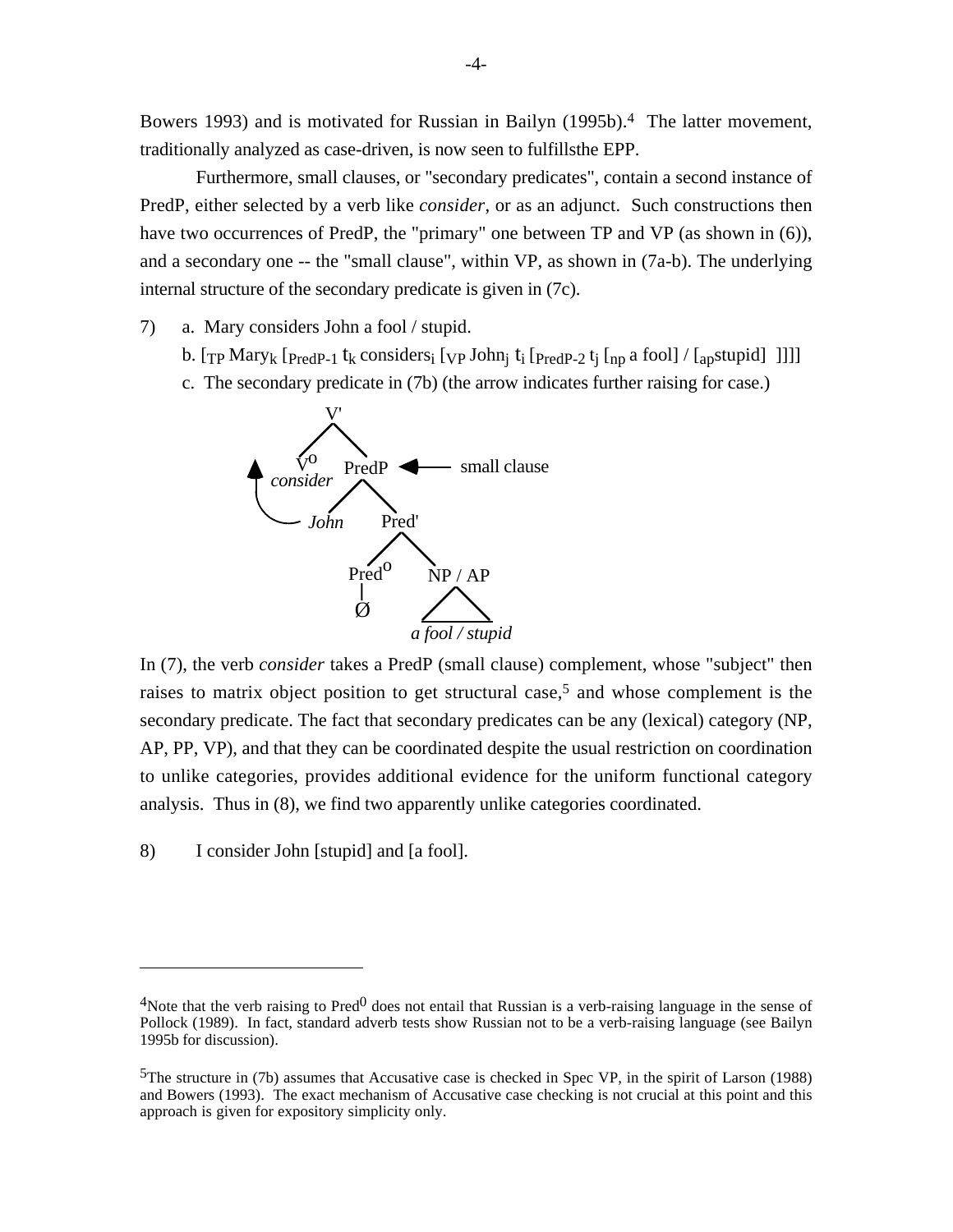Bowers 1993) and is motivated for Russian in Bailyn (1995b).4 The latter movement, traditionally analyzed as case-driven, is now seen to fulfillsthe EPP.

Furthermore, small clauses, or "secondary predicates", contain a second instance of PredP, either selected by a verb like *consider*, or as an adjunct. Such constructions then have two occurrences of PredP, the "primary" one between TP and VP (as shown in (6)), and a secondary one -- the "small clause", within VP, as shown in (7a-b). The underlying internal structure of the secondary predicate is given in (7c).

- 7) a. Mary considers John a fool / stupid.
	- b. [TP Mary<sub>k</sub> [PredP-1 t<sub>k</sub> considers<sub>i</sub> [vp John<sub>i</sub> t<sub>i</sub> [PredP-2 t<sub>i</sub> [np a fool] / [apstupid] ]]]]
	- c. The secondary predicate in (7b) (the arrow indicates further raising for case.)



In (7), the verb *consider* takes a PredP (small clause) complement, whose "subject" then raises to matrix object position to get structural case,<sup>5</sup> and whose complement is the secondary predicate. The fact that secondary predicates can be any (lexical) category (NP, AP, PP, VP), and that they can be coordinated despite the usual restriction on coordination to unlike categories, provides additional evidence for the uniform functional category analysis. Thus in (8), we find two apparently unlike categories coordinated.

8) I consider John [stupid] and [a fool].

<sup>&</sup>lt;sup>4</sup>Note that the verb raising to Pred<sup>0</sup> does not entail that Russian is a verb-raising language in the sense of Pollock (1989). In fact, standard adverb tests show Russian not to be a verb-raising language (see Bailyn 1995b for discussion).

<sup>5</sup>The structure in (7b) assumes that Accusative case is checked in Spec VP, in the spirit of Larson (1988) and Bowers (1993). The exact mechanism of Accusative case checking is not crucial at this point and this approach is given for expository simplicity only.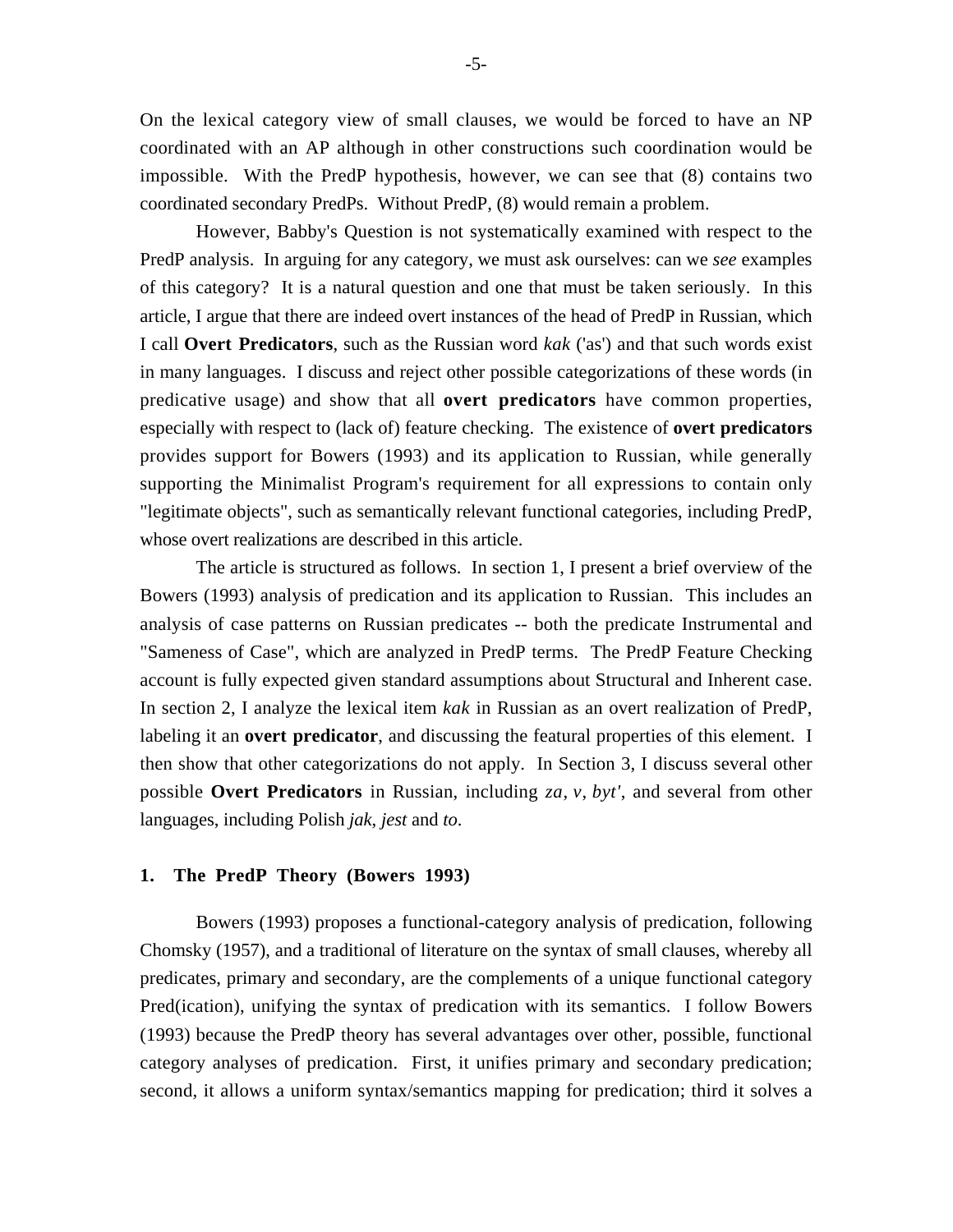On the lexical category view of small clauses, we would be forced to have an NP coordinated with an AP although in other constructions such coordination would be impossible. With the PredP hypothesis, however, we can see that (8) contains two coordinated secondary PredPs. Without PredP, (8) would remain a problem.

However, Babby's Question is not systematically examined with respect to the PredP analysis. In arguing for any category, we must ask ourselves: can we *see* examples of this category? It is a natural question and one that must be taken seriously. In this article, I argue that there are indeed overt instances of the head of PredP in Russian, which I call **Overt Predicators**, such as the Russian word *kak* ('as') and that such words exist in many languages. I discuss and reject other possible categorizations of these words (in predicative usage) and show that all **overt predicators** have common properties, especially with respect to (lack of) feature checking. The existence of **overt predicators** provides support for Bowers (1993) and its application to Russian, while generally supporting the Minimalist Program's requirement for all expressions to contain only "legitimate objects", such as semantically relevant functional categories, including PredP, whose overt realizations are described in this article.

The article is structured as follows. In section 1, I present a brief overview of the Bowers (1993) analysis of predication and its application to Russian. This includes an analysis of case patterns on Russian predicates -- both the predicate Instrumental and "Sameness of Case", which are analyzed in PredP terms. The PredP Feature Checking account is fully expected given standard assumptions about Structural and Inherent case. In section 2, I analyze the lexical item *kak* in Russian as an overt realization of PredP, labeling it an **overt predicator**, and discussing the featural properties of this element. I then show that other categorizations do not apply. In Section 3, I discuss several other possible **Overt Predicators** in Russian, including *za*, *v*, *byt'*, and several from other languages, including Polish *jak*, *jest* and *to*.

#### **1. The PredP Theory (Bowers 1993)**

Bowers (1993) proposes a functional-category analysis of predication, following Chomsky (1957), and a traditional of literature on the syntax of small clauses, whereby all predicates, primary and secondary, are the complements of a unique functional category Pred(ication), unifying the syntax of predication with its semantics. I follow Bowers (1993) because the PredP theory has several advantages over other, possible, functional category analyses of predication. First, it unifies primary and secondary predication; second, it allows a uniform syntax/semantics mapping for predication; third it solves a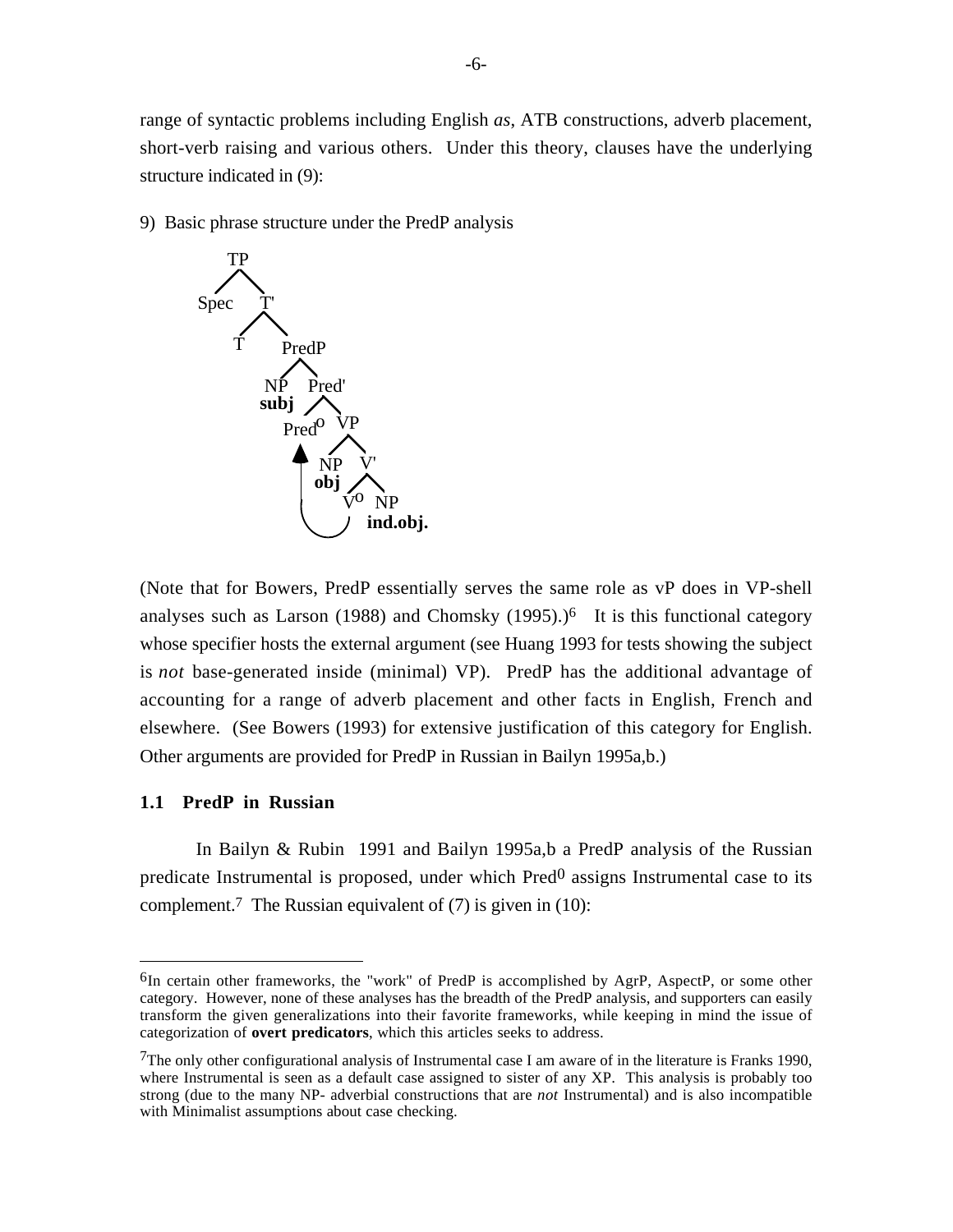range of syntactic problems including English *as*, ATB constructions, adverb placement, short-verb raising and various others. Under this theory, clauses have the underlying structure indicated in (9):

9) Basic phrase structure under the PredP analysis



(Note that for Bowers, PredP essentially serves the same role as vP does in VP-shell analyses such as Larson (1988) and Chomsky  $(1995)$ .)<sup>6</sup> It is this functional category whose specifier hosts the external argument (see Huang 1993 for tests showing the subject is *not* base-generated inside (minimal) VP). PredP has the additional advantage of accounting for a range of adverb placement and other facts in English, French and elsewhere. (See Bowers (1993) for extensive justification of this category for English. Other arguments are provided for PredP in Russian in Bailyn 1995a,b.)

## **1.1 PredP in Russian**

In Bailyn & Rubin 1991 and Bailyn 1995a,b a PredP analysis of the Russian predicate Instrumental is proposed, under which  $Pred<sup>0</sup>$  assigns Instrumental case to its complement.<sup>7</sup> The Russian equivalent of  $(7)$  is given in  $(10)$ :

 $6$ In certain other frameworks, the "work" of PredP is accomplished by AgrP, AspectP, or some other category. However, none of these analyses has the breadth of the PredP analysis, and supporters can easily transform the given generalizations into their favorite frameworks, while keeping in mind the issue of categorization of **overt predicators**, which this articles seeks to address.

<sup>&</sup>lt;sup>7</sup>The only other configurational analysis of Instrumental case I am aware of in the literature is Franks 1990, where Instrumental is seen as a default case assigned to sister of any XP. This analysis is probably too strong (due to the many NP- adverbial constructions that are *not* Instrumental) and is also incompatible with Minimalist assumptions about case checking.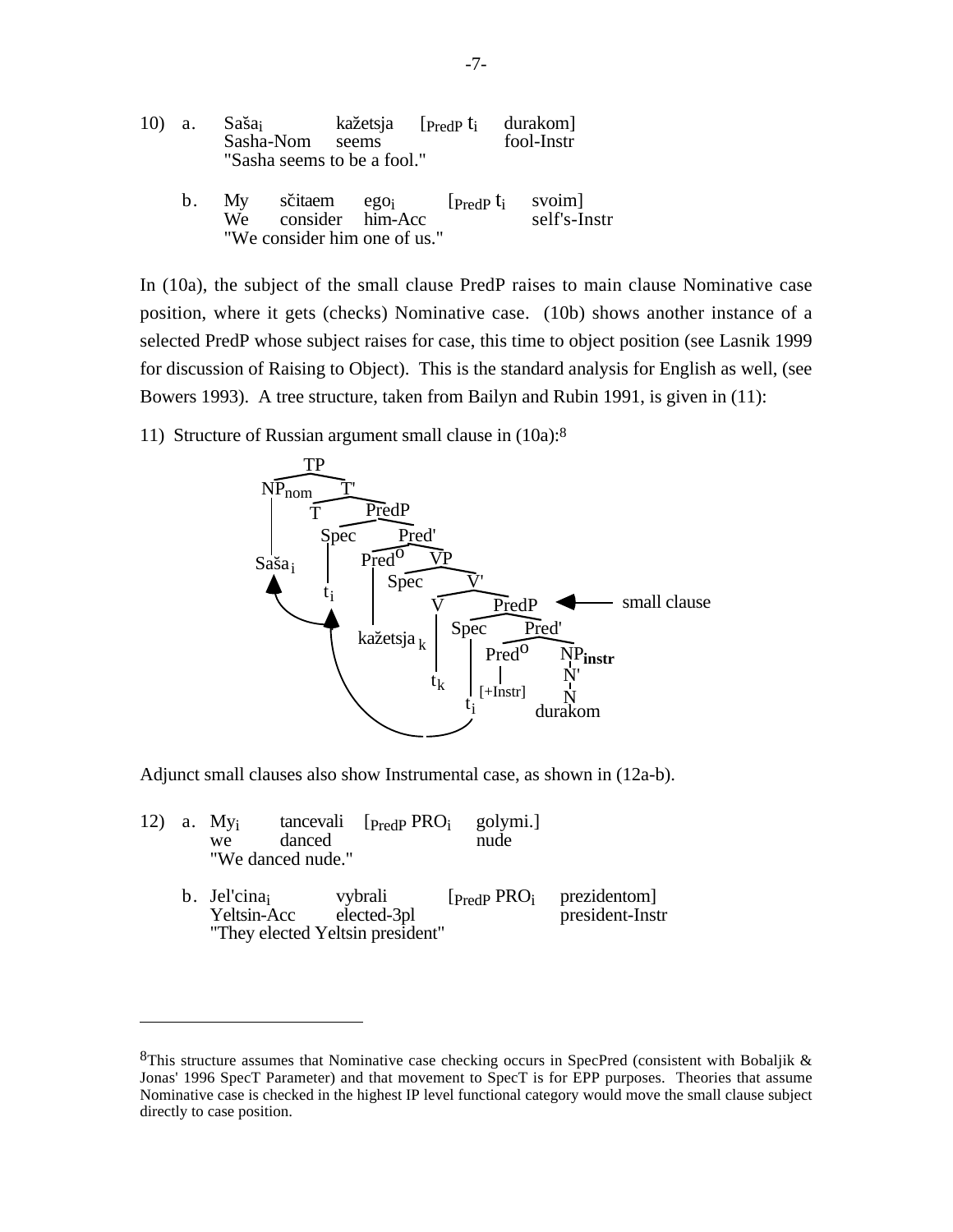| 10) a. |             | Saša <sub>i</sub><br>Sasha-Nom seems<br>"Sasha seems to be a fool." |                                                  | kažetsja [ <sub>PredP</sub> t <sub>i</sub>                    | durakom]<br>fool-Instr |  |
|--------|-------------|---------------------------------------------------------------------|--------------------------------------------------|---------------------------------------------------------------|------------------------|--|
|        | $b_{\cdot}$ | We                                                                  | consider him-Acc<br>"We consider him one of us." | My sčitaem ego <sub>i</sub> [ <sub>PredP</sub> t <sub>i</sub> | svoim]<br>self's-Instr |  |

In (10a), the subject of the small clause PredP raises to main clause Nominative case position, where it gets (checks) Nominative case. (10b) shows another instance of a selected PredP whose subject raises for case, this time to object position (see Lasnik 1999 for discussion of Raising to Object). This is the standard analysis for English as well, (see Bowers 1993). A tree structure, taken from Bailyn and Rubin 1991, is given in (11):

11) Structure of Russian argument small clause in (10a):8



Adjunct small clauses also show Instrumental case, as shown in (12a-b).

|  | 12) a. $Myi$<br>we<br>"We danced nude."                        | danced |                        | tancevali $[PredP PROi golymi.]$<br>nude |                                                            |
|--|----------------------------------------------------------------|--------|------------------------|------------------------------------------|------------------------------------------------------------|
|  | b. Jel'cina<br>Yeltsin-Acc<br>"They elected Yeltsin president" |        | vybrali<br>elected-3pl |                                          | $[$ Predp PRO <sub>i</sub> prezidentom]<br>president-Instr |

 $8$ This structure assumes that Nominative case checking occurs in SpecPred (consistent with Bobaljik & Jonas' 1996 SpecT Parameter) and that movement to SpecT is for EPP purposes. Theories that assume Nominative case is checked in the highest IP level functional category would move the small clause subject directly to case position.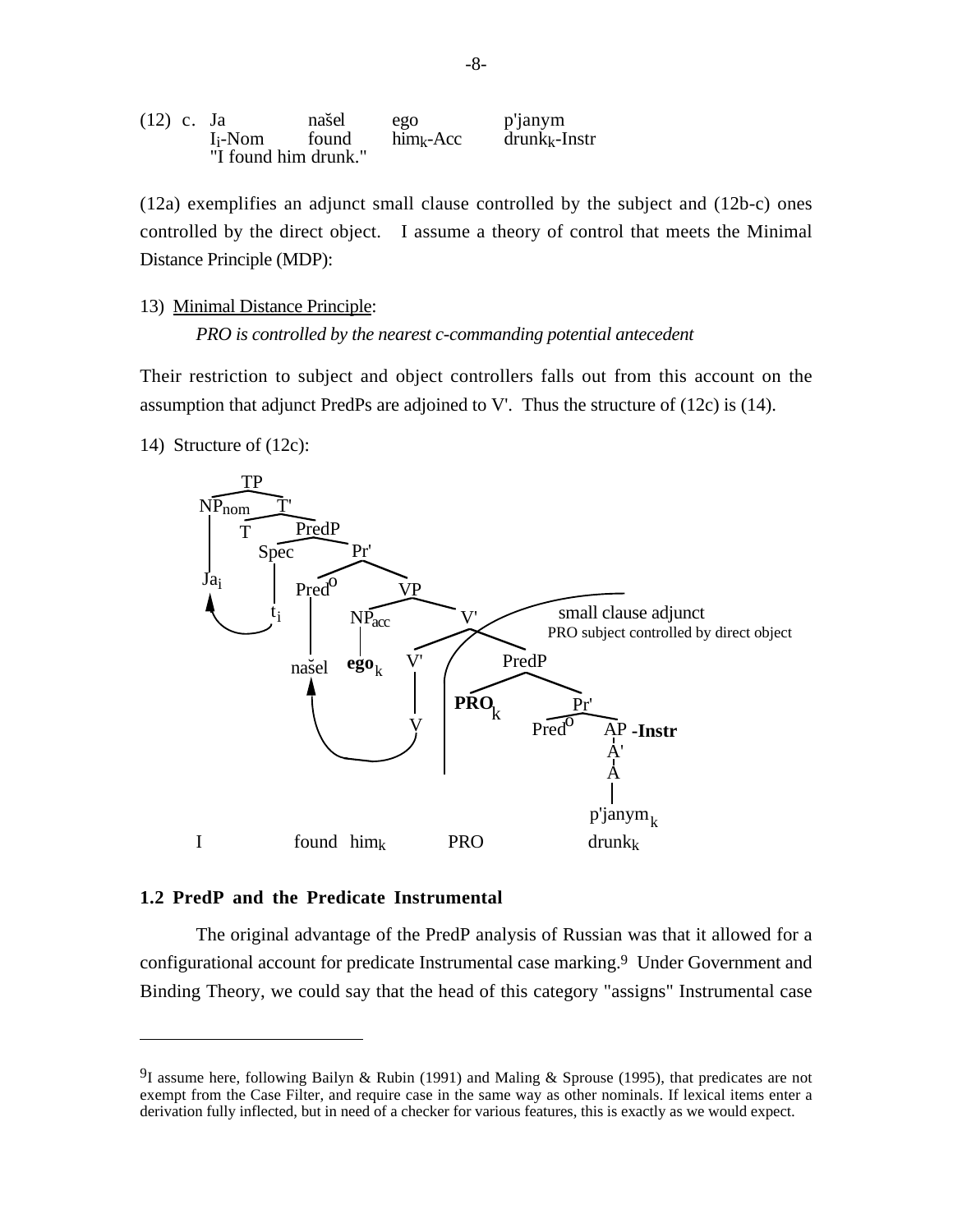| $(12)$ c. Ja |                     | našel                | ego          | p'janym         |
|--------------|---------------------|----------------------|--------------|-----------------|
|              | I <sub>i</sub> -Nom | found                | $him_k$ -Acc | $drunk_k-Instr$ |
|              |                     | "I found him drunk." |              |                 |

(12a) exemplifies an adjunct small clause controlled by the subject and (12b-c) ones controlled by the direct object. I assume a theory of control that meets the Minimal Distance Principle (MDP):

13) Minimal Distance Principle:

*PRO is controlled by the nearest c-commanding potential antecedent*

Their restriction to subject and object controllers falls out from this account on the assumption that adjunct PredPs are adjoined to V'. Thus the structure of (12c) is (14).

14) Structure of (12c):



## **1.2 PredP and the Predicate Instrumental**

The original advantage of the PredP analysis of Russian was that it allowed for a configurational account for predicate Instrumental case marking.<sup>9</sup> Under Government and Binding Theory, we could say that the head of this category "assigns" Instrumental case

<sup>&</sup>lt;sup>9</sup>I assume here, following Bailyn & Rubin (1991) and Maling & Sprouse (1995), that predicates are not exempt from the Case Filter, and require case in the same way as other nominals. If lexical items enter a derivation fully inflected, but in need of a checker for various features, this is exactly as we would expect.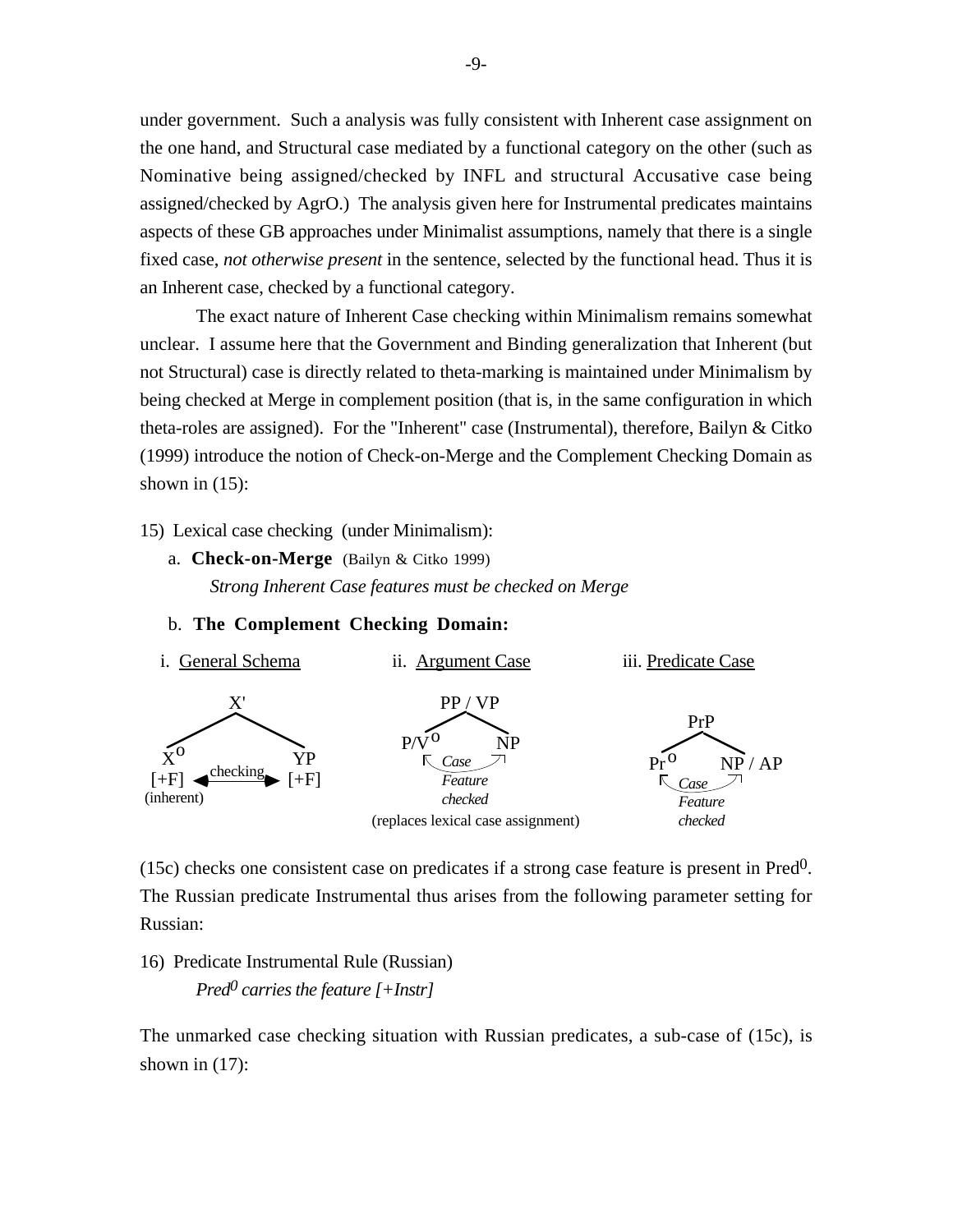under government. Such a analysis was fully consistent with Inherent case assignment on the one hand, and Structural case mediated by a functional category on the other (such as Nominative being assigned/checked by INFL and structural Accusative case being assigned/checked by AgrO.) The analysis given here for Instrumental predicates maintains aspects of these GB approaches under Minimalist assumptions, namely that there is a single fixed case, *not otherwise present* in the sentence, selected by the functional head. Thus it is an Inherent case, checked by a functional category.

The exact nature of Inherent Case checking within Minimalism remains somewhat unclear. I assume here that the Government and Binding generalization that Inherent (but not Structural) case is directly related to theta-marking is maintained under Minimalism by being checked at Merge in complement position (that is, in the same configuration in which theta-roles are assigned). For the "Inherent" case (Instrumental), therefore, Bailyn & Citko (1999) introduce the notion of Check-on-Merge and the Complement Checking Domain as shown in  $(15)$ :

15) Lexical case checking (under Minimalism):

a. **Check-on-Merge** (Bailyn & Citko 1999) *Strong Inherent Case features must be checked on Merge*

#### b. **The Complement Checking Domain:**



(15c) checks one consistent case on predicates if a strong case feature is present in Pred0. The Russian predicate Instrumental thus arises from the following parameter setting for Russian:

16) Predicate Instrumental Rule (Russian) *Pred0 carries the feature [+Instr]*

The unmarked case checking situation with Russian predicates, a sub-case of (15c), is shown in  $(17)$ :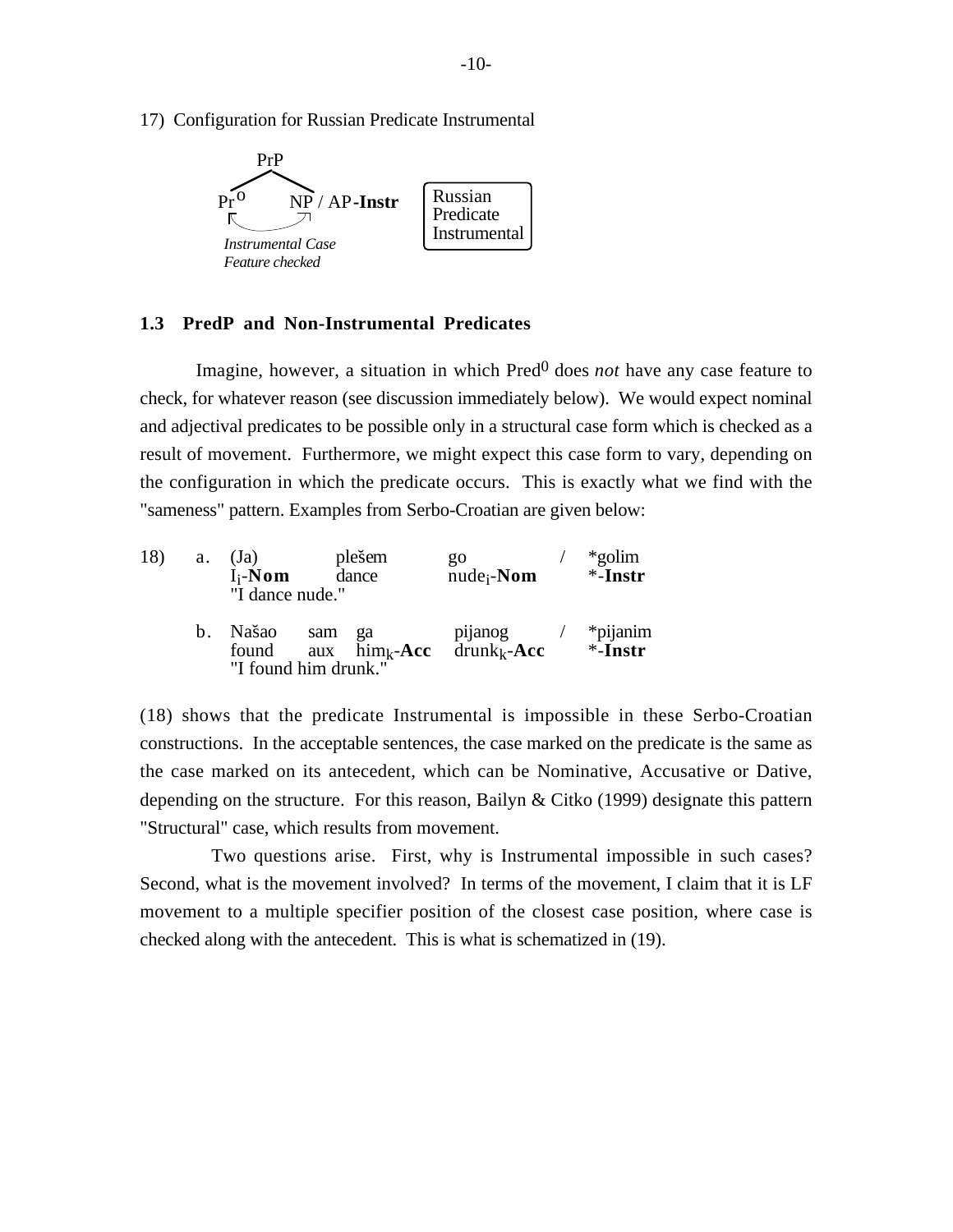17) Configuration for Russian Predicate Instrumental



### **1.3 PredP and Non-Instrumental Predicates**

Imagine, however, a situation in which Pred<sup>0</sup> does *not* have any case feature to check, for whatever reason (see discussion immediately below). We would expect nominal and adjectival predicates to be possible only in a structural case form which is checked as a result of movement. Furthermore, we might expect this case form to vary, depending on the configuration in which the predicate occurs. This is exactly what we find with the "sameness" pattern. Examples from Serbo-Croatian are given below:

| 18) | a. | plešem<br>(Ja)<br>$I_i$ -Nom<br>dance<br>"I dance nude." |     | go<br>$nude_i$ - <b>Nom</b>   |                           | *golim*<br>$*$ -Instr |                        |
|-----|----|----------------------------------------------------------|-----|-------------------------------|---------------------------|-----------------------|------------------------|
|     | h. | Našao<br>found<br>"I found him drunk."                   | sam | ga<br>aux $\text{him}_k$ -Acc | pijanog<br>$drunk_k$ -Acc |                       | *pijanim<br>$*$ -Instr |

(18) shows that the predicate Instrumental is impossible in these Serbo-Croatian constructions. In the acceptable sentences, the case marked on the predicate is the same as the case marked on its antecedent, which can be Nominative, Accusative or Dative, depending on the structure. For this reason, Bailyn & Citko (1999) designate this pattern "Structural" case, which results from movement.

Two questions arise. First, why is Instrumental impossible in such cases? Second, what is the movement involved? In terms of the movement, I claim that it is LF movement to a multiple specifier position of the closest case position, where case is checked along with the antecedent. This is what is schematized in (19).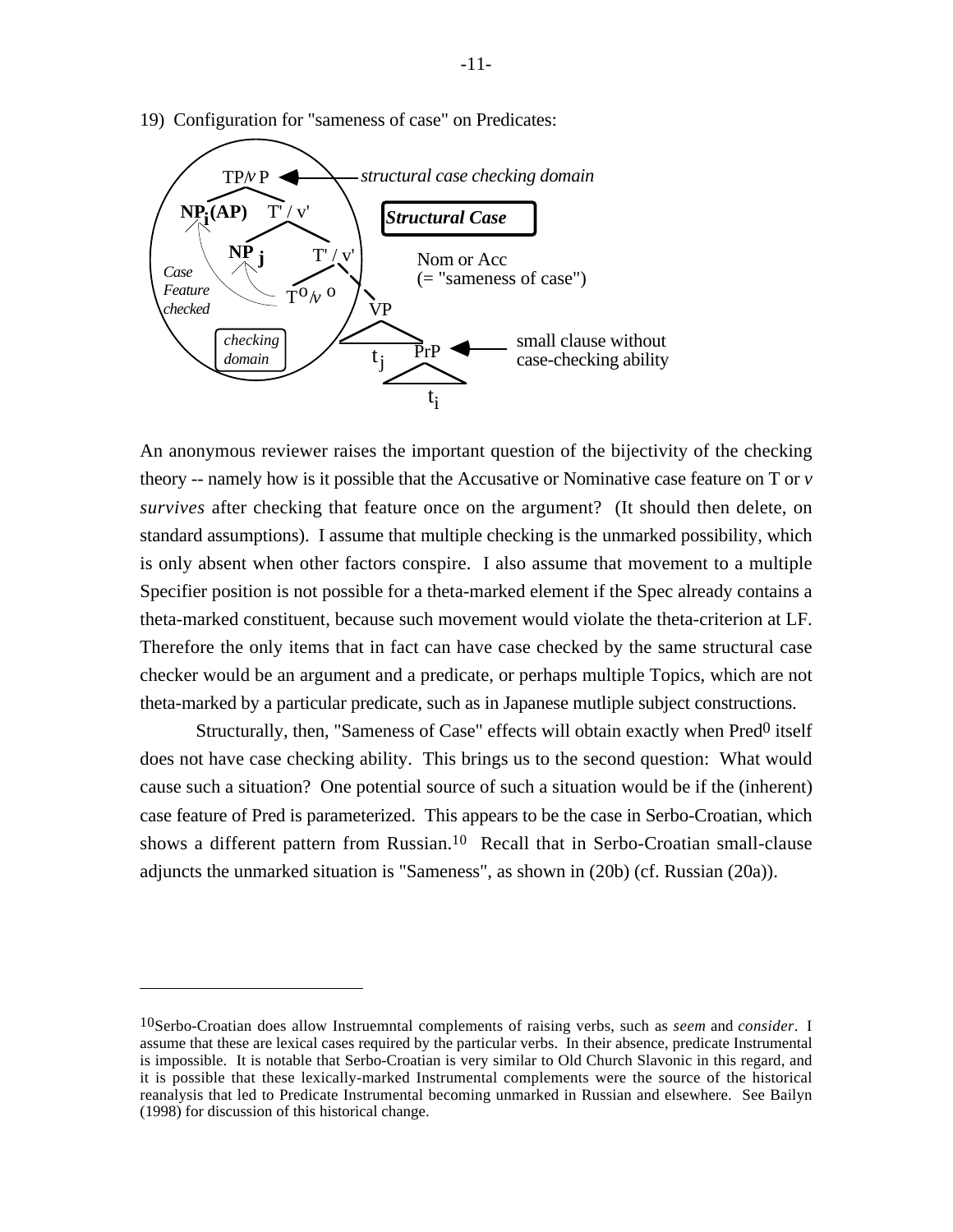

19) Configuration for "sameness of case" on Predicates:

An anonymous reviewer raises the important question of the bijectivity of the checking theory -- namely how is it possible that the Accusative or Nominative case feature on T or *v survives* after checking that feature once on the argument? (It should then delete, on standard assumptions). I assume that multiple checking is the unmarked possibility, which is only absent when other factors conspire. I also assume that movement to a multiple Specifier position is not possible for a theta-marked element if the Spec already contains a theta-marked constituent, because such movement would violate the theta-criterion at LF. Therefore the only items that in fact can have case checked by the same structural case checker would be an argument and a predicate, or perhaps multiple Topics, which are not theta-marked by a particular predicate, such as in Japanese mutliple subject constructions.

Structurally, then, "Sameness of Case" effects will obtain exactly when Pred<sup>0</sup> itself does not have case checking ability. This brings us to the second question: What would cause such a situation? One potential source of such a situation would be if the (inherent) case feature of Pred is parameterized. This appears to be the case in Serbo-Croatian, which shows a different pattern from Russian.10 Recall that in Serbo-Croatian small-clause adjuncts the unmarked situation is "Sameness", as shown in (20b) (cf. Russian (20a)).

<sup>10</sup>Serbo-Croatian does allow Instruemntal complements of raising verbs, such as *seem* and *consider*. I assume that these are lexical cases required by the particular verbs. In their absence, predicate Instrumental is impossible. It is notable that Serbo-Croatian is very similar to Old Church Slavonic in this regard, and it is possible that these lexically-marked Instrumental complements were the source of the historical reanalysis that led to Predicate Instrumental becoming unmarked in Russian and elsewhere. See Bailyn (1998) for discussion of this historical change.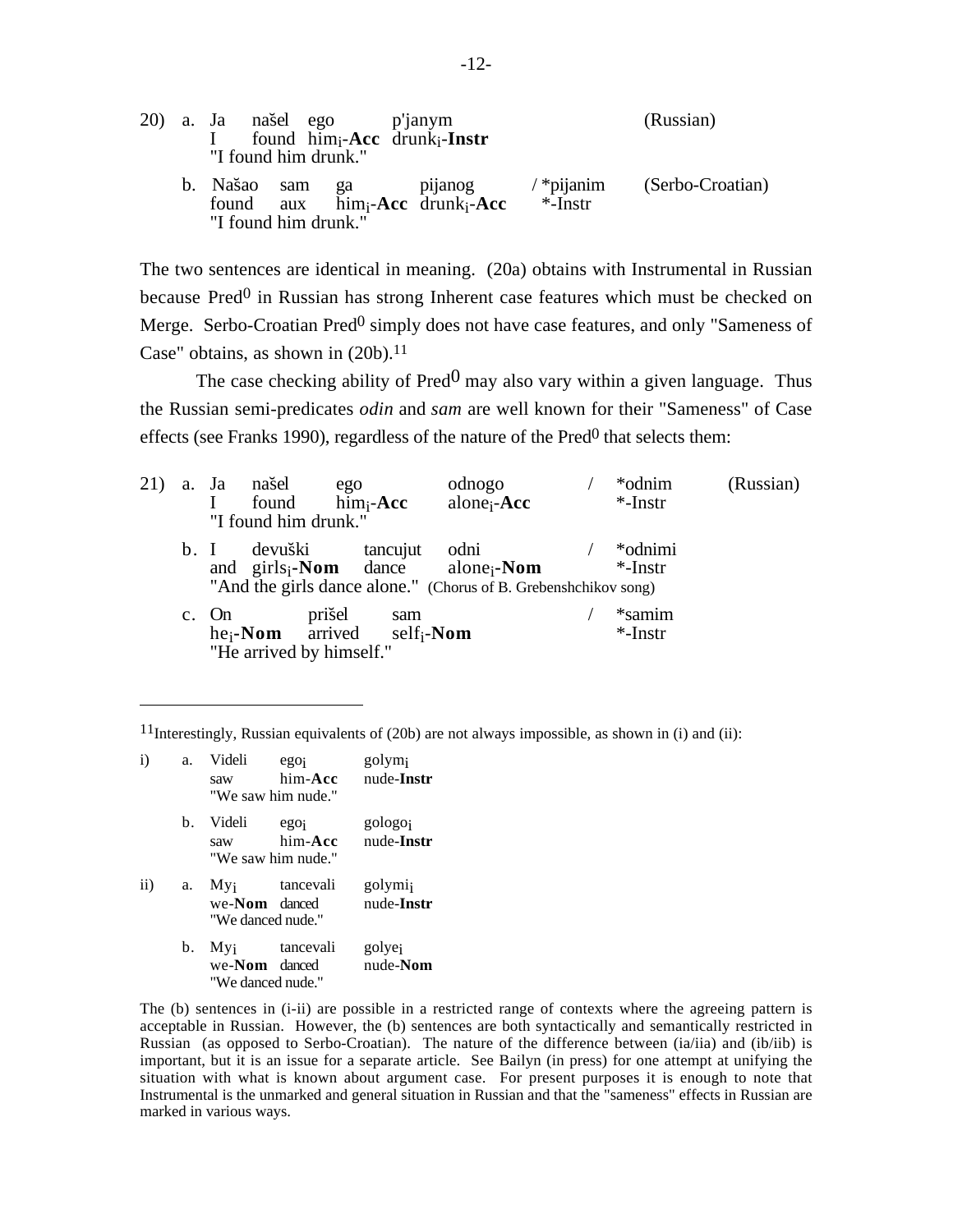|  | 20) a. Ja našel ego p'janym<br>found $him_i$ -Acc drunk <sub>i</sub> -Instr<br>"I found him drunk." |                                         |                                                                    |                         | (Russian)        |
|--|-----------------------------------------------------------------------------------------------------|-----------------------------------------|--------------------------------------------------------------------|-------------------------|------------------|
|  |                                                                                                     | b. Našao sam ga<br>"I found him drunk." | pijanog<br>found aux him <sub>i</sub> -Acc drunk <sub>i</sub> -Acc | $/$ *pijanim<br>*-Instr | (Serbo-Croatian) |

The two sentences are identical in meaning. (20a) obtains with Instrumental in Russian because Pred<sup>0</sup> in Russian has strong Inherent case features which must be checked on Merge. Serbo-Croatian Pred<sup>0</sup> simply does not have case features, and only "Sameness of Case" obtains, as shown in  $(20b)$ .<sup>11</sup>

The case checking ability of  $Pred^0$  may also vary within a given language. Thus the Russian semi-predicates *odin* and *sam* are well known for their "Sameness" of Case effects (see Franks 1990), regardless of the nature of the  $Pred<sup>0</sup>$  that selects them:

| 21) |     | a. Ja našel | "I found him drunk."               | ego<br>found him <sub>i</sub> -Acc                         | odnogo<br>alone <sub>i</sub> - $Acc$                                                                                                              | *odnim<br>$*$ -Instr  | (Russian) |
|-----|-----|-------------|------------------------------------|------------------------------------------------------------|---------------------------------------------------------------------------------------------------------------------------------------------------|-----------------------|-----------|
|     | b.1 |             | devuški                            | tancujut                                                   | odni<br>and $\text{girls}_i\text{-}\textbf{Nom}$ dance alone <sub>i</sub> -Nom<br>"And the girls dance alone." (Chorus of B. Grebenshchikov song) | *odnimi<br>$*$ -Instr |           |
|     |     | c. On       | prišel<br>"He arrived by himself." | sam<br>he <sub>i</sub> -Nom arrived self <sub>i</sub> -Nom |                                                                                                                                                   | *samim<br>$*$ -Instr  |           |

<sup>11</sup>Interestingly, Russian equivalents of (20b) are not always impossible, as shown in (i) and (ii):

| $\ddot{i}$ | a. | Videli<br>saw                                               | ego <sub>i</sub><br>him-Acc<br>"We saw him nude." | golym <sub>i</sub><br>nude-Instr  |
|------------|----|-------------------------------------------------------------|---------------------------------------------------|-----------------------------------|
|            | b. | Videli<br>saw                                               | egoi<br>him-Acc<br>"We saw him nude."             | gologoj<br>nude-Instr             |
| $\rm ii)$  | a. | $M_{\rm{Vi}}$<br>we- <b>Nom</b> danced<br>"We danced mude." | tancevali                                         | golymi <sub>i</sub><br>nude-Instr |
|            | b. | $M_{\rm Vi}$<br>we- <b>Nom</b> danced<br>"We danced nude."  | tancevali                                         | golyej<br>nude-Nom                |

The (b) sentences in (i-ii) are possible in a restricted range of contexts where the agreeing pattern is acceptable in Russian. However, the (b) sentences are both syntactically and semantically restricted in Russian (as opposed to Serbo-Croatian). The nature of the difference between (ia/iia) and (ib/iib) is important, but it is an issue for a separate article. See Bailyn (in press) for one attempt at unifying the situation with what is known about argument case. For present purposes it is enough to note that Instrumental is the unmarked and general situation in Russian and that the "sameness" effects in Russian are marked in various ways.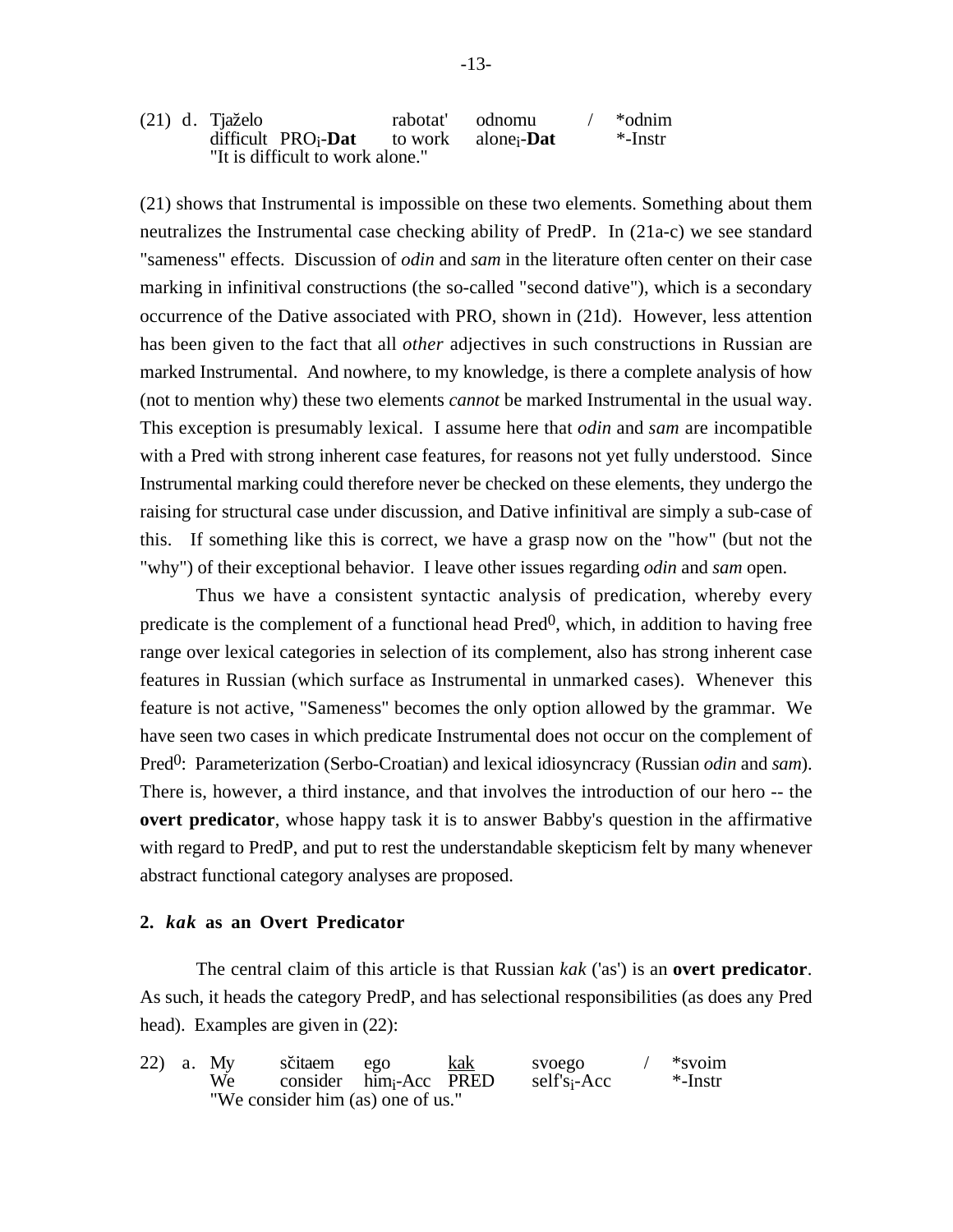|  | (21) d. Tjaželo                                                        | rabotat' odnomu | *odnim  |
|--|------------------------------------------------------------------------|-----------------|---------|
|  | difficult $PRO_i$ - <b>Dat</b> to work alone <sub>i</sub> - <b>Dat</b> |                 | *-Instr |
|  | "It is difficult to work alone."                                       |                 |         |

(21) shows that Instrumental is impossible on these two elements. Something about them neutralizes the Instrumental case checking ability of PredP. In (21a-c) we see standard "sameness" effects. Discussion of *odin* and *sam* in the literature often center on their case marking in infinitival constructions (the so-called "second dative"), which is a secondary occurrence of the Dative associated with PRO, shown in (21d). However, less attention has been given to the fact that all *other* adjectives in such constructions in Russian are marked Instrumental. And nowhere, to my knowledge, is there a complete analysis of how (not to mention why) these two elements *cannot* be marked Instrumental in the usual way. This exception is presumably lexical. I assume here that *odin* and *sam* are incompatible with a Pred with strong inherent case features, for reasons not yet fully understood. Since Instrumental marking could therefore never be checked on these elements, they undergo the raising for structural case under discussion, and Dative infinitival are simply a sub-case of this. If something like this is correct, we have a grasp now on the "how" (but not the "why") of their exceptional behavior. I leave other issues regarding *odin* and *sam* open.

Thus we have a consistent syntactic analysis of predication, whereby every predicate is the complement of a functional head  $Pred<sup>0</sup>$ , which, in addition to having free range over lexical categories in selection of its complement, also has strong inherent case features in Russian (which surface as Instrumental in unmarked cases). Whenever this feature is not active, "Sameness" becomes the only option allowed by the grammar. We have seen two cases in which predicate Instrumental does not occur on the complement of Pred<sup>0</sup>: Parameterization (Serbo-Croatian) and lexical idiosyncracy (Russian *odin* and *sam*). There is, however, a third instance, and that involves the introduction of our hero -- the **overt predicator**, whose happy task it is to answer Babby's question in the affirmative with regard to PredP, and put to rest the understandable skepticism felt by many whenever abstract functional category analyses are proposed.

#### **2.** *kak* **as an Overt Predicator**

The central claim of this article is that Russian *kak* ('as') is an **overt predicator**. As such, it heads the category PredP, and has selectional responsibilities (as does any Pred head). Examples are given in  $(22)$ :

|  | 22) a. My | sčitaem ego                       |  | kak | svoego                   | *svoim     |
|--|-----------|-----------------------------------|--|-----|--------------------------|------------|
|  | We        | consider him-Acc PRED             |  |     | self's <sub>i</sub> -Acc | $*$ -Instr |
|  |           | "We consider him (as) one of us." |  |     |                          |            |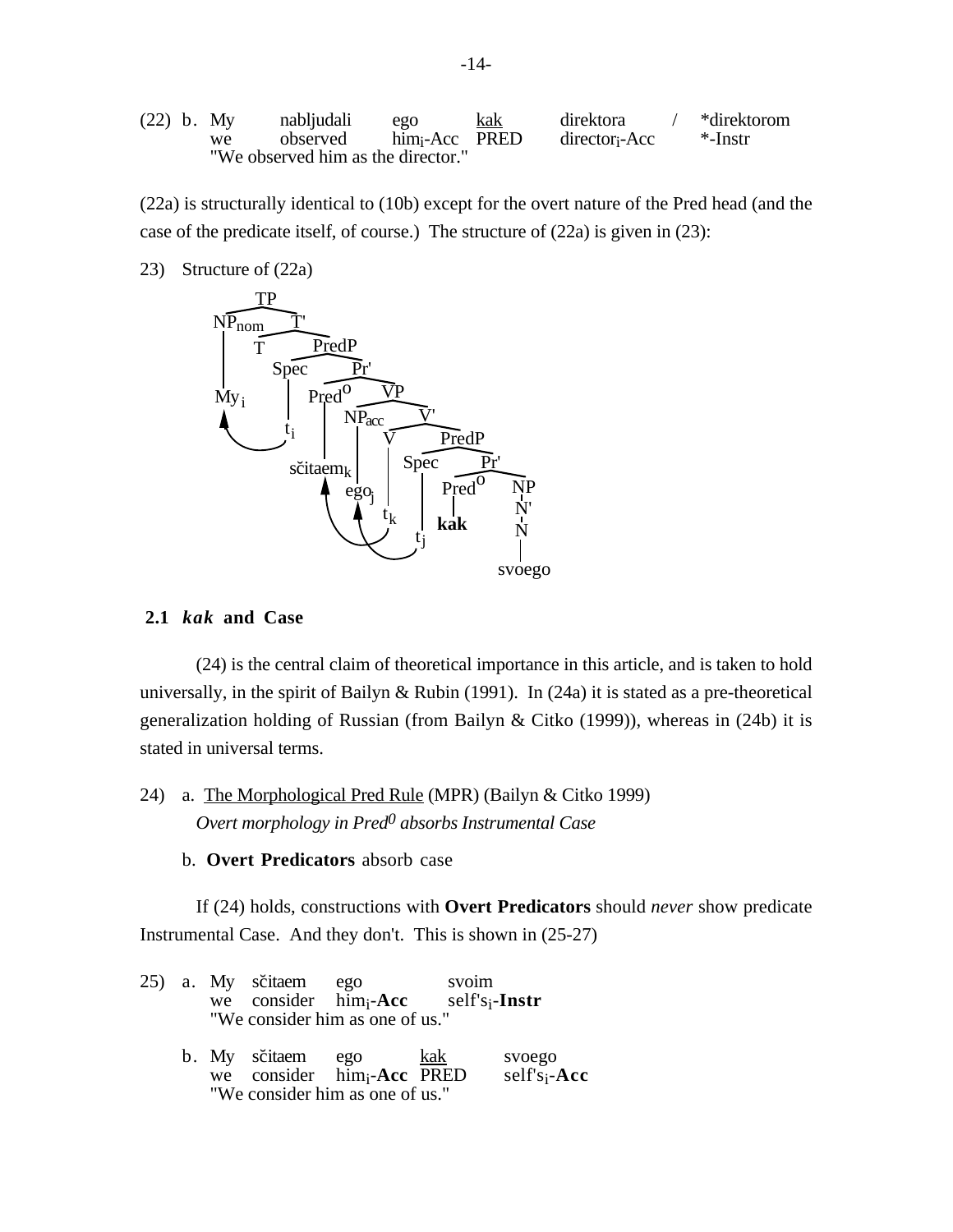(22) b. My nabljudali  
we observed 
$$
lim_{i}
$$
-Acc  $PRED$  *director*<sub>i</sub>-Acc  $*$ -*Instr*  
"We observed him as the director."

(22a) is structurally identical to (10b) except for the overt nature of the Pred head (and the case of the predicate itself, of course.) The structure of (22a) is given in (23):

23) Structure of (22a)



## **2.1** *kak* **and Case**

(24) is the central claim of theoretical importance in this article, and is taken to hold universally, in the spirit of Bailyn & Rubin (1991). In (24a) it is stated as a pre-theoretical generalization holding of Russian (from Bailyn & Citko (1999)), whereas in (24b) it is stated in universal terms.

24) a. The Morphological Pred Rule (MPR) (Bailyn & Citko 1999) *Overt morphology in Pred0 absorbs Instrumental Case*

b. **Overt Predicators** absorb case

If (24) holds, constructions with **Overt Predicators** should *never* show predicate Instrumental Case. And they don't. This is shown in (25-27)

|  | 25) a. My sčitaem ego | "We consider him as one of us."                                                      | svoim | we consider $him_i$ -Acc self's <sub>i</sub> -Instr |  |
|--|-----------------------|--------------------------------------------------------------------------------------|-------|-----------------------------------------------------|--|
|  |                       | b. My sčitaem ego kak<br>we consider him-Acc PRED<br>"We consider him as one of us." |       | svoego<br>$self's_i$ -Acc                           |  |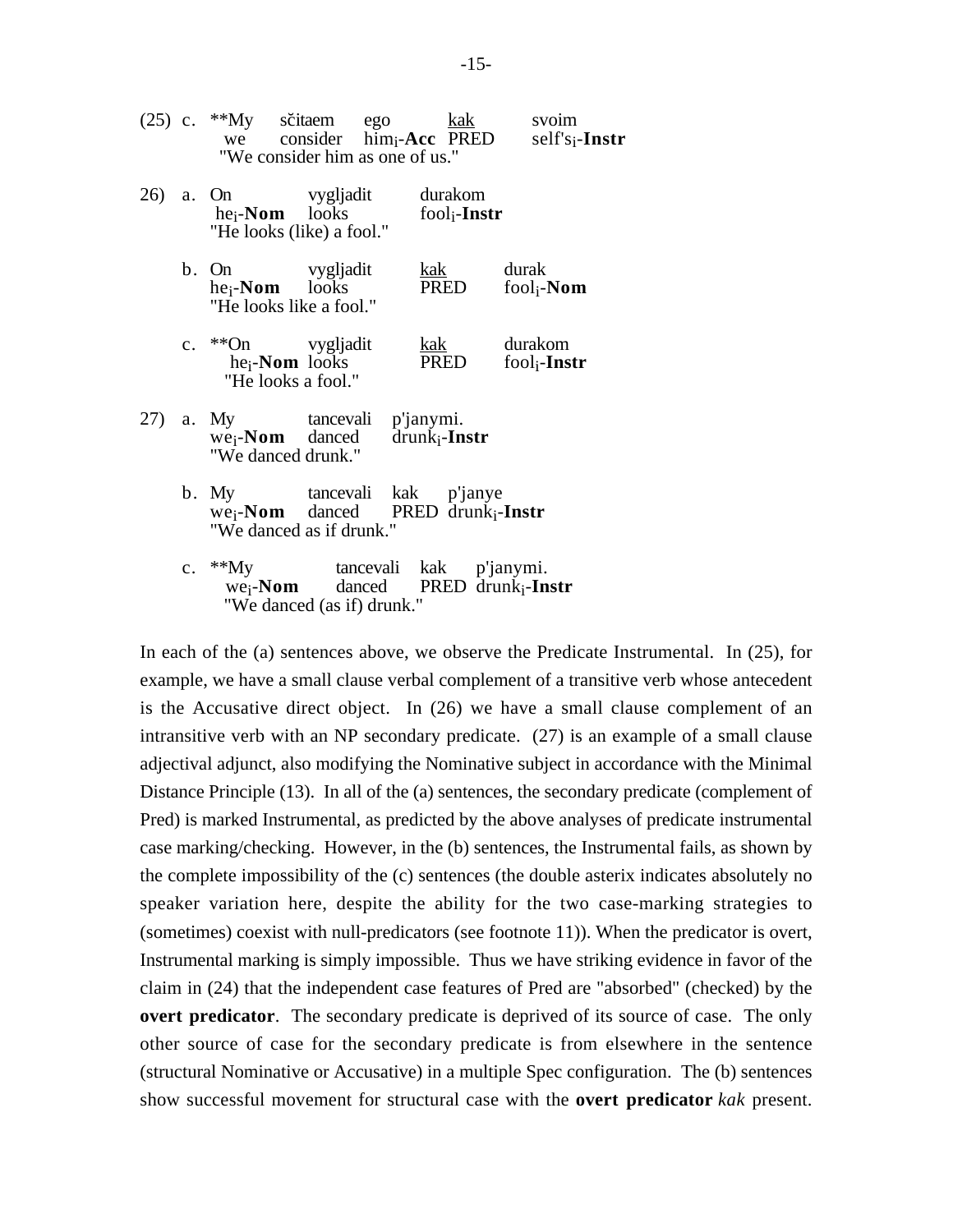|     |             |                                                                                    | "We consider him as one of us."                                                     | we consider $\lim_{i}Acc$ PRED                                                      | $self's_i$ -Instr               |
|-----|-------------|------------------------------------------------------------------------------------|-------------------------------------------------------------------------------------|-------------------------------------------------------------------------------------|---------------------------------|
| 26) |             | a. On vygljadit<br>he <sub>i</sub> - <b>Nom</b> looks<br>"He looks (like) a fool." |                                                                                     | durakom<br>$fool_i$ -Instr                                                          |                                 |
|     |             | $b.$ On<br>$he_i$ - <b>Nom</b> looks<br>"He looks like a fool."                    | vygljadit                                                                           | <u>kak</u><br>PRED                                                                  | durak<br>fool <sub>i</sub> -Nom |
|     | $c_{\cdot}$ | **On vygljadit<br>he <sub>i</sub> -Nom looks<br>"He looks a fool."                 |                                                                                     | kak<br>PRED                                                                         | durakom<br>$fool_i$ -Instr      |
| 27) |             | a. My<br>"We danced drunk."                                                        | tancevali p'janymi.<br>$we_i$ - <b>Nom</b> danced drunk <sub>i</sub> - <b>Instr</b> |                                                                                     |                                 |
|     |             | $b.$ My                                                                            | "We danced as if drunk."                                                            | tancevali kak p'janye<br>we <sub>i</sub> -Nom danced PRED drunk <sub>i</sub> -Instr |                                 |
|     |             | c. $*^*My$<br>we <sub>i</sub> - <b>Nom</b>                                         | "We danced (as if) drunk."                                                          | tancevali kak p'janymi.<br>danced PRED drunk <sub>i</sub> -Instr                    |                                 |

(25) c. \*\*My sc˘itaem ego kak svoim

In each of the (a) sentences above, we observe the Predicate Instrumental. In (25), for example, we have a small clause verbal complement of a transitive verb whose antecedent is the Accusative direct object. In (26) we have a small clause complement of an intransitive verb with an NP secondary predicate. (27) is an example of a small clause adjectival adjunct, also modifying the Nominative subject in accordance with the Minimal Distance Principle (13). In all of the (a) sentences, the secondary predicate (complement of Pred) is marked Instrumental, as predicted by the above analyses of predicate instrumental case marking/checking. However, in the (b) sentences, the Instrumental fails, as shown by the complete impossibility of the (c) sentences (the double asterix indicates absolutely no speaker variation here, despite the ability for the two case-marking strategies to (sometimes) coexist with null-predicators (see footnote 11)). When the predicator is overt, Instrumental marking is simply impossible. Thus we have striking evidence in favor of the claim in (24) that the independent case features of Pred are "absorbed" (checked) by the **overt predicator**. The secondary predicate is deprived of its source of case. The only other source of case for the secondary predicate is from elsewhere in the sentence (structural Nominative or Accusative) in a multiple Spec configuration. The (b) sentences show successful movement for structural case with the **overt predicator** *kak* present.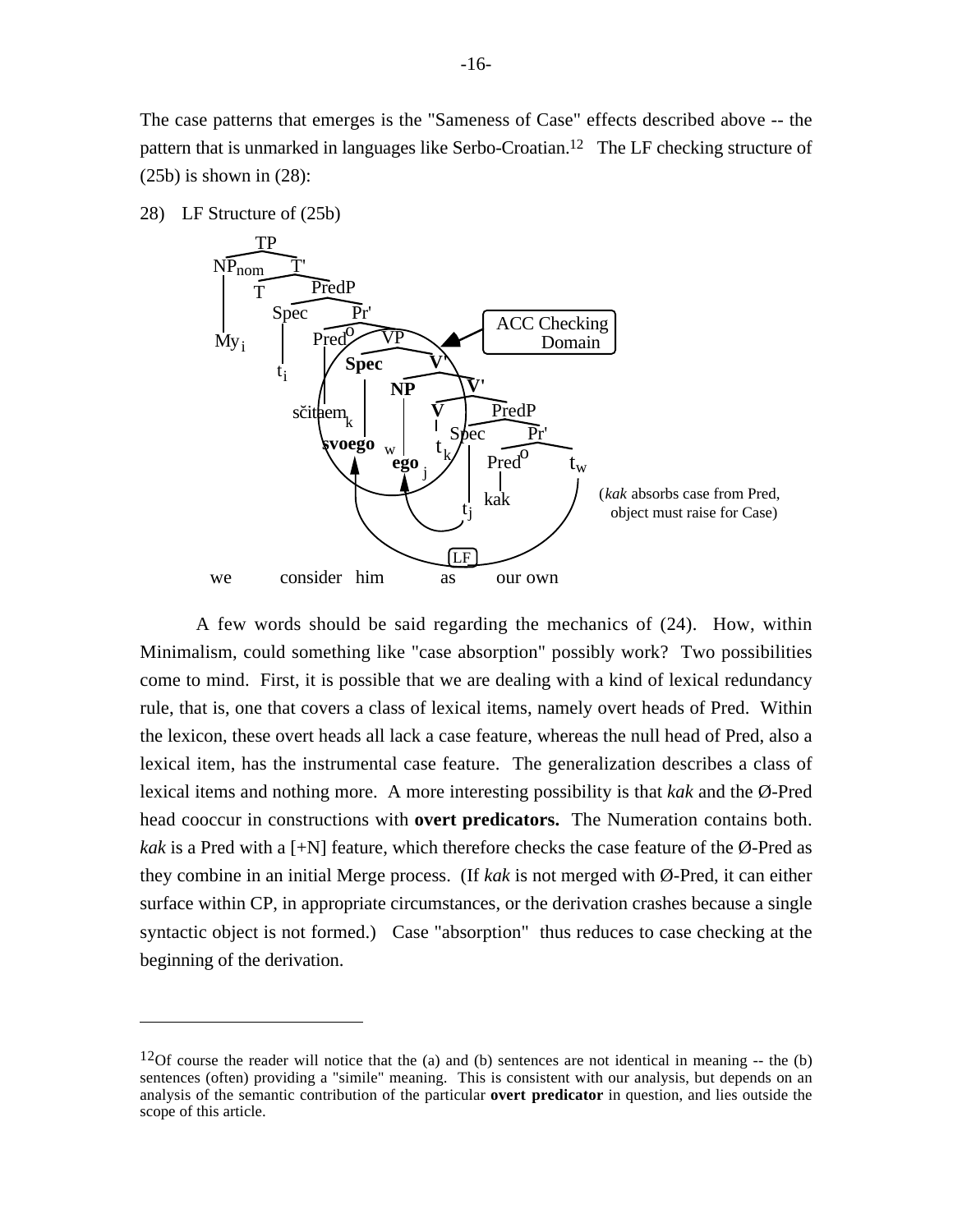The case patterns that emerges is the "Sameness of Case" effects described above -- the pattern that is unmarked in languages like Serbo-Croatian.<sup>12</sup> The LF checking structure of  $(25b)$  is shown in  $(28)$ :

28) LF Structure of (25b)



A few words should be said regarding the mechanics of (24). How, within Minimalism, could something like "case absorption" possibly work? Two possibilities come to mind. First, it is possible that we are dealing with a kind of lexical redundancy rule, that is, one that covers a class of lexical items, namely overt heads of Pred. Within the lexicon, these overt heads all lack a case feature, whereas the null head of Pred, also a lexical item, has the instrumental case feature. The generalization describes a class of lexical items and nothing more. A more interesting possibility is that *kak* and the Ø-Pred head cooccur in constructions with **overt predicators.** The Numeration contains both. *kak* is a Pred with a  $[+N]$  feature, which therefore checks the case feature of the Ø-Pred as they combine in an initial Merge process. (If *kak* is not merged with Ø-Pred, it can either surface within CP, in appropriate circumstances, or the derivation crashes because a single syntactic object is not formed.) Case "absorption" thus reduces to case checking at the beginning of the derivation.

<sup>&</sup>lt;sup>12</sup>Of course the reader will notice that the (a) and (b) sentences are not identical in meaning  $-$ - the (b) sentences (often) providing a "simile" meaning. This is consistent with our analysis, but depends on an analysis of the semantic contribution of the particular **overt predicator** in question, and lies outside the scope of this article.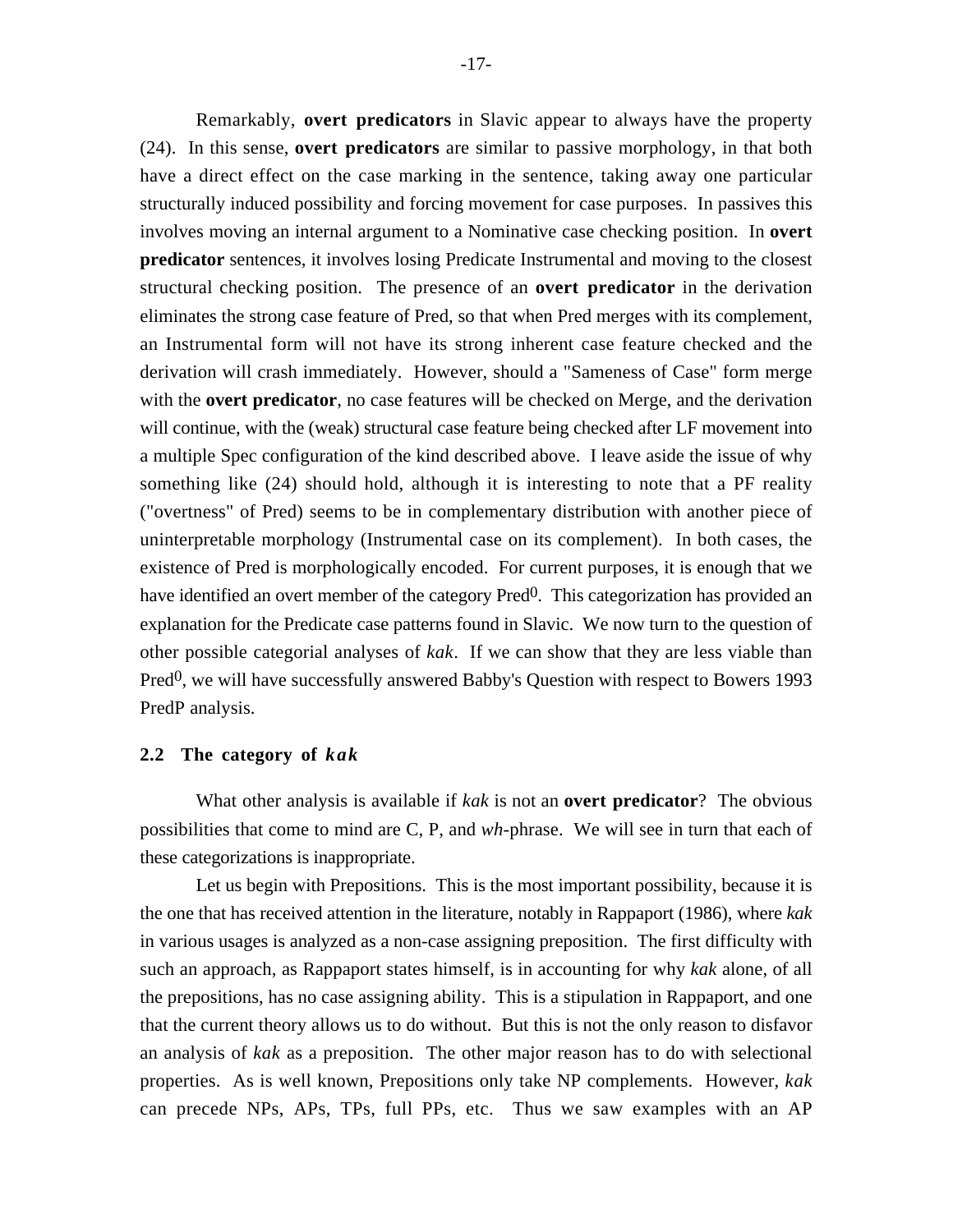Remarkably, **overt predicators** in Slavic appear to always have the property (24). In this sense, **overt predicators** are similar to passive morphology, in that both have a direct effect on the case marking in the sentence, taking away one particular structurally induced possibility and forcing movement for case purposes. In passives this involves moving an internal argument to a Nominative case checking position. In **overt predicator** sentences, it involves losing Predicate Instrumental and moving to the closest structural checking position. The presence of an **overt predicator** in the derivation eliminates the strong case feature of Pred, so that when Pred merges with its complement, an Instrumental form will not have its strong inherent case feature checked and the derivation will crash immediately. However, should a "Sameness of Case" form merge with the **overt predicator**, no case features will be checked on Merge, and the derivation will continue, with the (weak) structural case feature being checked after LF movement into a multiple Spec configuration of the kind described above. I leave aside the issue of why something like (24) should hold, although it is interesting to note that a PF reality ("overtness" of Pred) seems to be in complementary distribution with another piece of uninterpretable morphology (Instrumental case on its complement). In both cases, the existence of Pred is morphologically encoded. For current purposes, it is enough that we have identified an overt member of the category Pred<sup>0</sup>. This categorization has provided an explanation for the Predicate case patterns found in Slavic. We now turn to the question of other possible categorial analyses of *kak*. If we can show that they are less viable than  $Pred<sup>0</sup>$ , we will have successfully answered Babby's Question with respect to Bowers 1993 PredP analysis.

### **2.2 The category of** *kak*

What other analysis is available if *kak* is not an **overt predicator**? The obvious possibilities that come to mind are C, P, and *wh*-phrase. We will see in turn that each of these categorizations is inappropriate.

Let us begin with Prepositions. This is the most important possibility, because it is the one that has received attention in the literature, notably in Rappaport (1986), where *kak* in various usages is analyzed as a non-case assigning preposition. The first difficulty with such an approach, as Rappaport states himself, is in accounting for why *kak* alone, of all the prepositions, has no case assigning ability. This is a stipulation in Rappaport, and one that the current theory allows us to do without. But this is not the only reason to disfavor an analysis of *kak* as a preposition. The other major reason has to do with selectional properties. As is well known, Prepositions only take NP complements. However, *kak* can precede NPs, APs, TPs, full PPs, etc. Thus we saw examples with an AP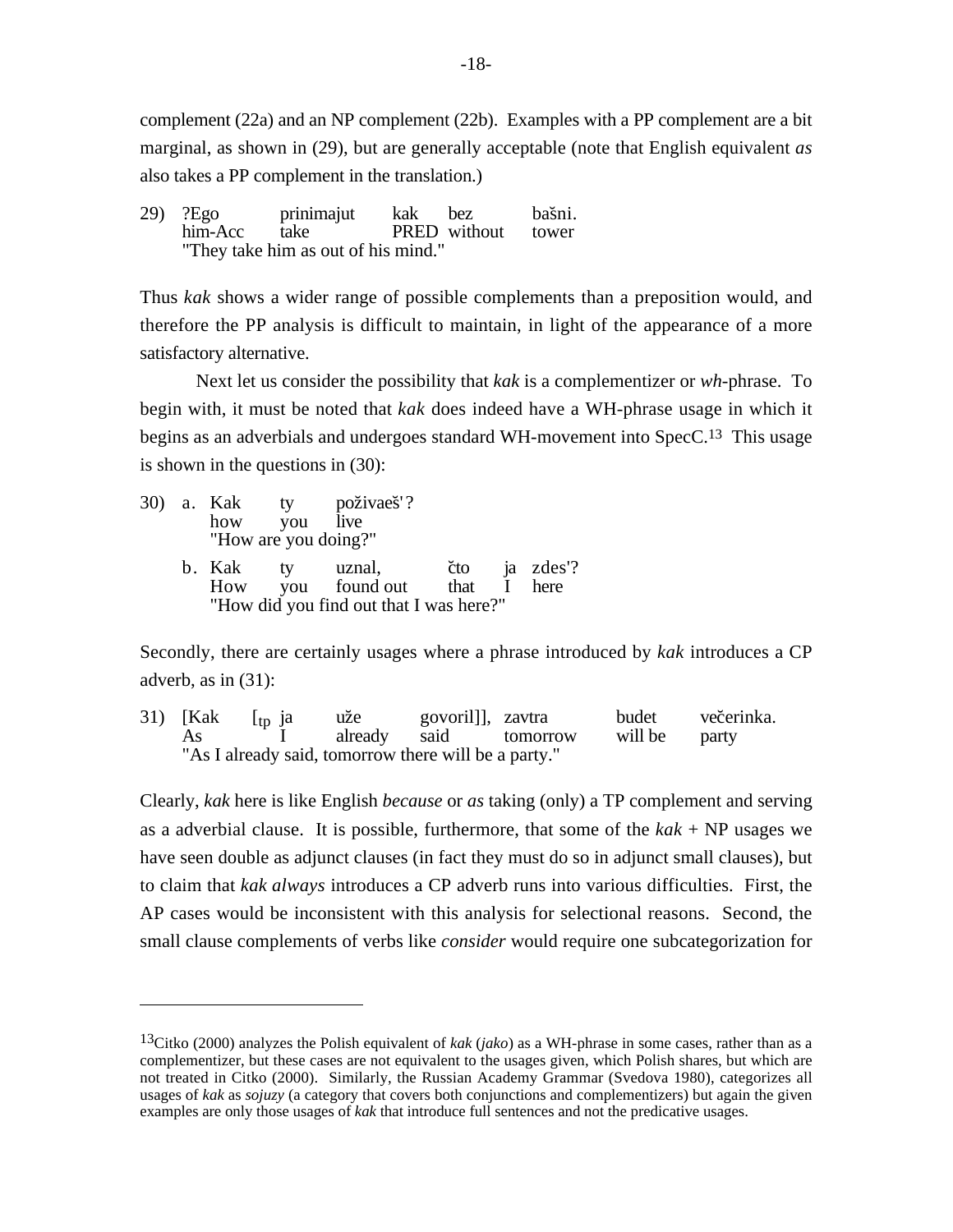complement (22a) and an NP complement (22b). Examples with a PP complement are a bit marginal, as shown in (29), but are generally acceptable (note that English equivalent *as* also takes a PP complement in the translation.)

29) ?Ego prinimajut kak bez bašni. him-Acc take PRED without tower "They take him as out of his mind."

Thus *kak* shows a wider range of possible complements than a preposition would, and therefore the PP analysis is difficult to maintain, in light of the appearance of a more satisfactory alternative.

Next let us consider the possibility that *kak* is a complementizer or *wh*-phrase. To begin with, it must be noted that *kak* does indeed have a WH-phrase usage in which it begins as an adverbials and undergoes standard WH-movement into SpecC.<sup>13</sup> This usage is shown in the questions in (30):

|  | how you<br>"How are you doing?" | 30) a. Kak ty poživaeš'?<br>live                                                   |  |               |
|--|---------------------------------|------------------------------------------------------------------------------------|--|---------------|
|  | b. Kak ty                       | uznal,<br>How you found out that I here<br>"How did you find out that I was here?" |  | čto ja zdes'? |

Secondly, there are certainly usages where a phrase introduced by *kak* introduces a CP adverb, as in (31):

31) [Kak [tp ja uže govoril]], zavtra budet večerinka.<br>As I already said tomorrow will be party tomorrow "As I already said, tomorrow there will be a party."

Clearly, *kak* here is like English *because* or *as* taking (only) a TP complement and serving as a adverbial clause. It is possible, furthermore, that some of the *kak* + NP usages we have seen double as adjunct clauses (in fact they must do so in adjunct small clauses), but to claim that *kak always* introduces a CP adverb runs into various difficulties. First, the AP cases would be inconsistent with this analysis for selectional reasons. Second, the small clause complements of verbs like *consider* would require one subcategorization for

<sup>13</sup>Citko (2000) analyzes the Polish equivalent of *kak* (*jako*) as a WH-phrase in some cases, rather than as a complementizer, but these cases are not equivalent to the usages given, which Polish shares, but which are not treated in Citko (2000). Similarly, the Russian Academy Grammar (Svedova 1980), categorizes all usages of *kak* as *sojuzy* (a category that covers both conjunctions and complementizers) but again the given examples are only those usages of *kak* that introduce full sentences and not the predicative usages.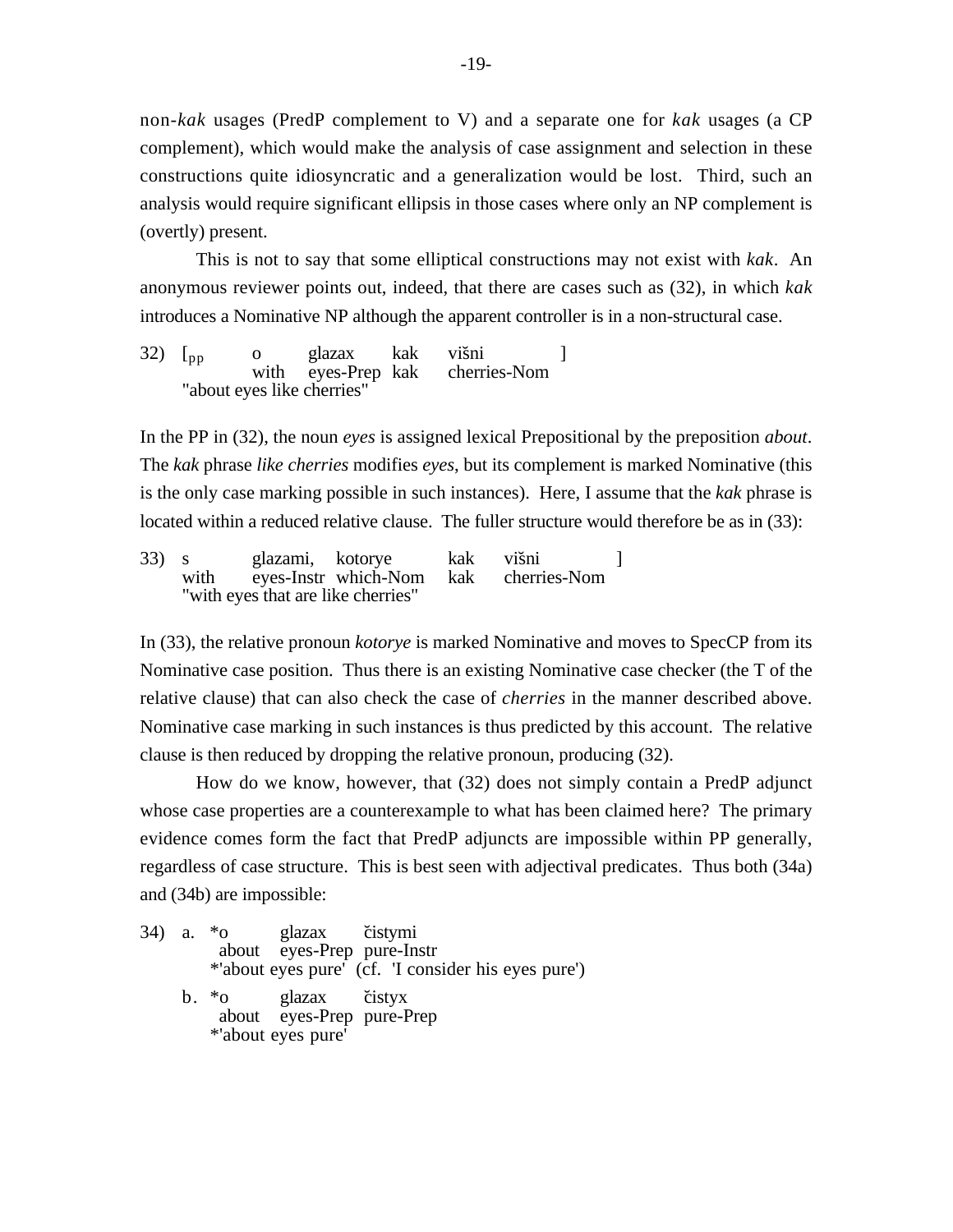non-*kak* usages (PredP complement to V) and a separate one for *kak* usages (a CP complement), which would make the analysis of case assignment and selection in these constructions quite idiosyncratic and a generalization would be lost. Third, such an analysis would require significant ellipsis in those cases where only an NP complement is (overtly) present.

This is not to say that some elliptical constructions may not exist with *kak*. An anonymous reviewer points out, indeed, that there are cases such as (32), in which *kak* introduces a Nominative NP although the apparent controller is in a non-structural case.

32)  $\begin{bmatrix} p_p \\ q_p \end{bmatrix}$  o glazax kak višni  $\begin{bmatrix} 32 \\ 2 \end{bmatrix}$  and  $\begin{bmatrix} 32 \\ 2 \end{bmatrix}$  with eves-Prep kak cherries-Nom eyes-Prep kak "about eyes like cherries"

In the PP in (32), the noun *eyes* is assigned lexical Prepositional by the preposition *about*. The *kak* phrase *like cherries* modifies *eyes*, but its complement is marked Nominative (this is the only case marking possible in such instances). Here, I assume that the *kak* phrase is located within a reduced relative clause. The fuller structure would therefore be as in (33):

33) s glazami, kotorye kak višni ]<br>with eves-Instrwhich-Nom kak cherries-Nom with eyes-Instr which-Nom kak "with eyes that are like cherries"

In (33), the relative pronoun *kotorye* is marked Nominative and moves to SpecCP from its Nominative case position. Thus there is an existing Nominative case checker (the T of the relative clause) that can also check the case of *cherries* in the manner described above. Nominative case marking in such instances is thus predicted by this account. The relative clause is then reduced by dropping the relative pronoun, producing (32).

How do we know, however, that (32) does not simply contain a PredP adjunct whose case properties are a counterexample to what has been claimed here? The primary evidence comes form the fact that PredP adjuncts are impossible within PP generally, regardless of case structure. This is best seen with adjectival predicates. Thus both (34a) and (34b) are impossible:

34) a. \*o glazax čistymi about eyes-Prep pure-Instr \*'about eyes pure' (cf. 'I consider his eyes pure')  $b. *o$  glazax čistyx about eyes-Prep pure-Prep \*'about eyes pure'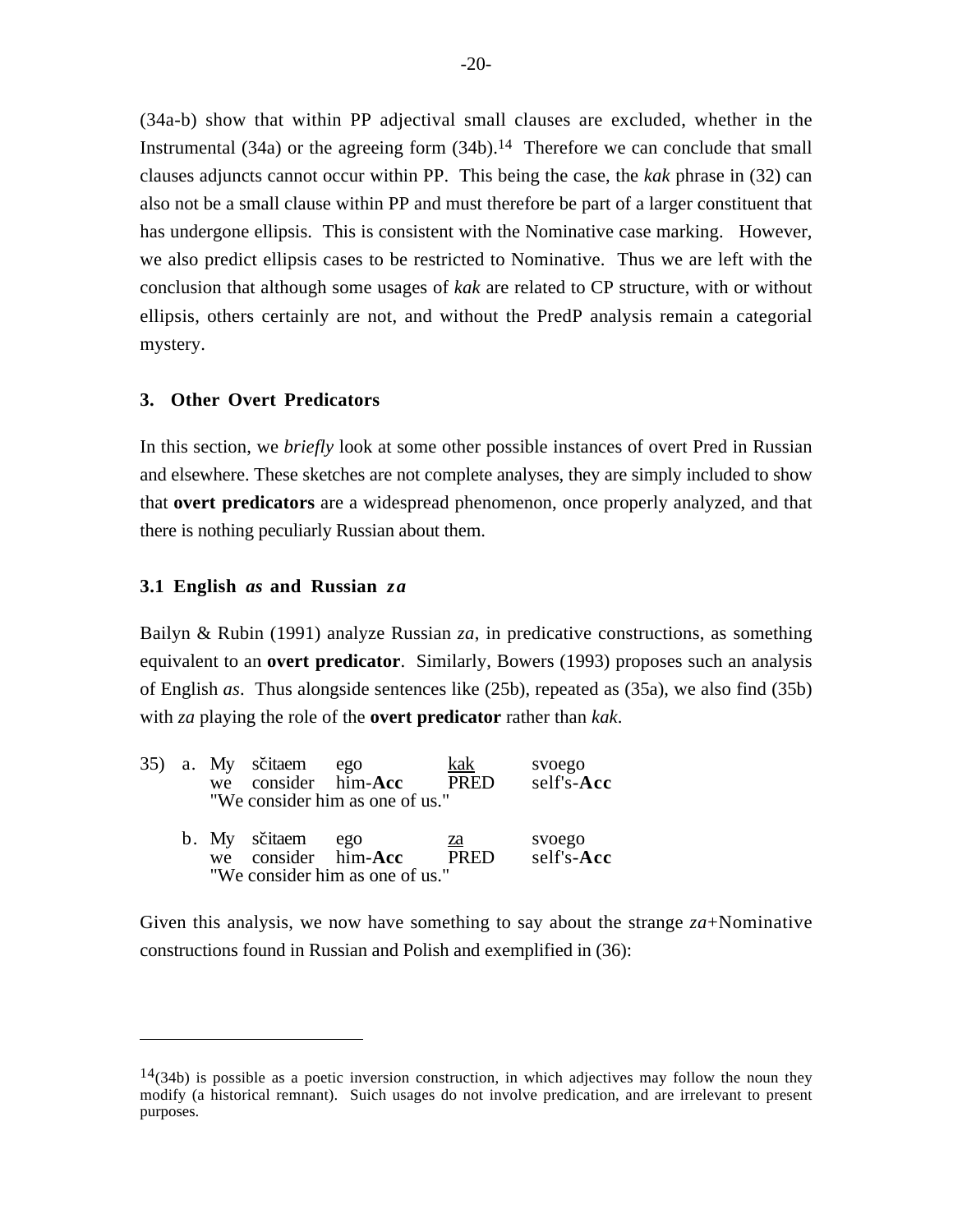(34a-b) show that within PP adjectival small clauses are excluded, whether in the Instrumental  $(34a)$  or the agreeing form  $(34b)$ .<sup>14</sup> Therefore we can conclude that small clauses adjuncts cannot occur within PP. This being the case, the *kak* phrase in (32) can also not be a small clause within PP and must therefore be part of a larger constituent that has undergone ellipsis. This is consistent with the Nominative case marking. However, we also predict ellipsis cases to be restricted to Nominative. Thus we are left with the conclusion that although some usages of *kak* are related to CP structure, with or without ellipsis, others certainly are not, and without the PredP analysis remain a categorial mystery.

### **3. Other Overt Predicators**

In this section, we *briefly* look at some other possible instances of overt Pred in Russian and elsewhere. These sketches are not complete analyses, they are simply included to show that **overt predicators** are a widespread phenomenon, once properly analyzed, and that there is nothing peculiarly Russian about them.

#### **3.1 English** *as* **and Russian** *za*

Bailyn & Rubin (1991) analyze Russian *za*, in predicative constructions, as something equivalent to an **overt predicator**. Similarly, Bowers (1993) proposes such an analysis of English *as*. Thus alongside sentences like (25b), repeated as (35a), we also find (35b) with *za* playing the role of the **overt predicator** rather than *kak*.

|  | 35) a. My sčitaem<br>we consider him-Acc | ego<br>"We consider him as one of us." | kak<br>PRED                    | svoego<br>self's-Acc    |
|--|------------------------------------------|----------------------------------------|--------------------------------|-------------------------|
|  | b. My sčitaem<br>we consider him-Acc     | ego<br>"We consider him as one of us." | <u>za</u><br>$\overline{PRFD}$ | svoego<br>$self's$ -Acc |

Given this analysis, we now have something to say about the strange *za*+Nominative constructions found in Russian and Polish and exemplified in (36):

 $14(34b)$  is possible as a poetic inversion construction, in which adjectives may follow the noun they modify (a historical remnant). Suich usages do not involve predication, and are irrelevant to present purposes.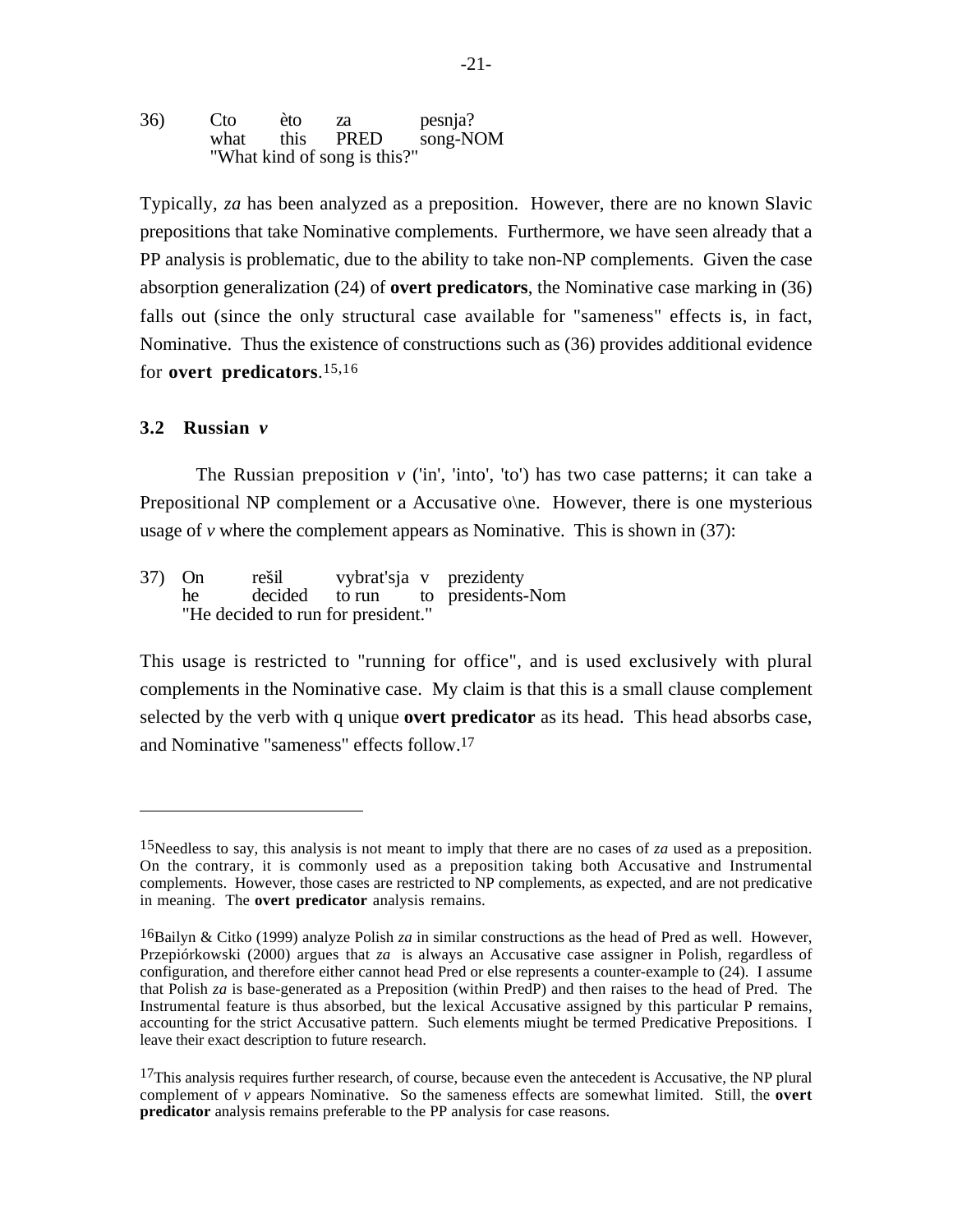36) Cto èto za pesnja? what this PRED song-NOM "What kind of song is this?"

Typically, *za* has been analyzed as a preposition. However, there are no known Slavic prepositions that take Nominative complements. Furthermore, we have seen already that a PP analysis is problematic, due to the ability to take non-NP complements. Given the case absorption generalization (24) of **overt predicators**, the Nominative case marking in (36) falls out (since the only structural case available for "sameness" effects is, in fact, Nominative. Thus the existence of constructions such as (36) provides additional evidence for **overt predicators**.15,16

#### **3.2 Russian** *v*

The Russian preposition  $\nu$  ('in', 'into', 'to') has two case patterns; it can take a Prepositional NP complement or a Accusative o\ne. However, there is one mysterious usage of  $\nu$  where the complement appears as Nominative. This is shown in (37):

37) On rešil vybrat'sja v prezidenty he decided to run to presidents-Nom "He decided to run for president."

This usage is restricted to "running for office", and is used exclusively with plural complements in the Nominative case. My claim is that this is a small clause complement selected by the verb with q unique **overt predicator** as its head. This head absorbs case, and Nominative "sameness" effects follow.17

<sup>15</sup>Needless to say, this analysis is not meant to imply that there are no cases of *za* used as a preposition. On the contrary, it is commonly used as a preposition taking both Accusative and Instrumental complements. However, those cases are restricted to NP complements, as expected, and are not predicative in meaning. The **overt predicator** analysis remains.

<sup>16</sup>Bailyn & Citko (1999) analyze Polish *za* in similar constructions as the head of Pred as well. However, Przepiórkowski (2000) argues that *za* is always an Accusative case assigner in Polish, regardless of configuration, and therefore either cannot head Pred or else represents a counter-example to (24). I assume that Polish *za* is base-generated as a Preposition (within PredP) and then raises to the head of Pred. The Instrumental feature is thus absorbed, but the lexical Accusative assigned by this particular P remains, accounting for the strict Accusative pattern. Such elements miught be termed Predicative Prepositions. I leave their exact description to future research.

 $17$ This analysis requires further research, of course, because even the antecedent is Accusative, the NP plural complement of *v* appears Nominative. So the sameness effects are somewhat limited. Still, the **overt predicator** analysis remains preferable to the PP analysis for case reasons.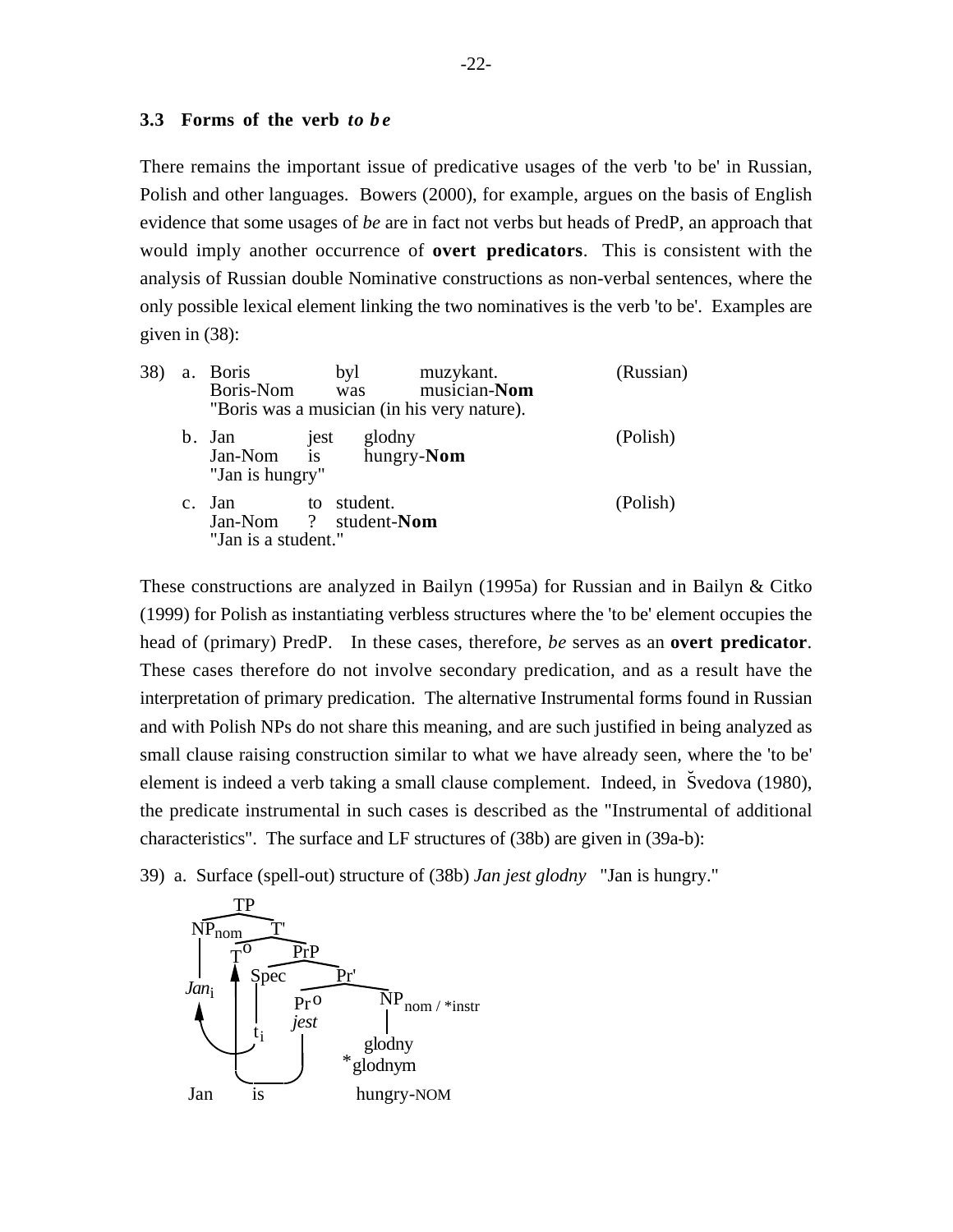### **3.3 Forms of the verb** *to b e*

There remains the important issue of predicative usages of the verb 'to be' in Russian, Polish and other languages. Bowers (2000), for example, argues on the basis of English evidence that some usages of *be* are in fact not verbs but heads of PredP, an approach that would imply another occurrence of **overt predicators**. This is consistent with the analysis of Russian double Nominative constructions as non-verbal sentences, where the only possible lexical element linking the two nominatives is the verb 'to be'. Examples are given in (38):

| 38) |             | a. Boris<br>Boris-Nom was                                              | byl                                  | muzykant.<br>musician-Nom<br>"Boris was a musician (in his very nature). | (Russian) |
|-----|-------------|------------------------------------------------------------------------|--------------------------------------|--------------------------------------------------------------------------|-----------|
|     |             | b. Jan jest glodny<br>Jan-Nom is hungry- <b>Nom</b><br>"Jan is hungry" |                                      |                                                                          | (Polish)  |
|     | $c_{\cdot}$ | Jan<br>"Jan is a student."                                             | to student.<br>Jan-Nom ? student-Nom |                                                                          | (Polish)  |

These constructions are analyzed in Bailyn (1995a) for Russian and in Bailyn & Citko (1999) for Polish as instantiating verbless structures where the 'to be' element occupies the head of (primary) PredP. In these cases, therefore, *be* serves as an **overt predicator**. These cases therefore do not involve secondary predication, and as a result have the interpretation of primary predication. The alternative Instrumental forms found in Russian and with Polish NPs do not share this meaning, and are such justified in being analyzed as small clause raising construction similar to what we have already seen, where the 'to be' element is indeed a verb taking a small clause complement. Indeed, in Švedova (1980), the predicate instrumental in such cases is described as the "Instrumental of additional characteristics". The surface and LF structures of (38b) are given in (39a-b):

39) a. Surface (spell-out) structure of (38b) *Jan jest glodny* "Jan is hungry."

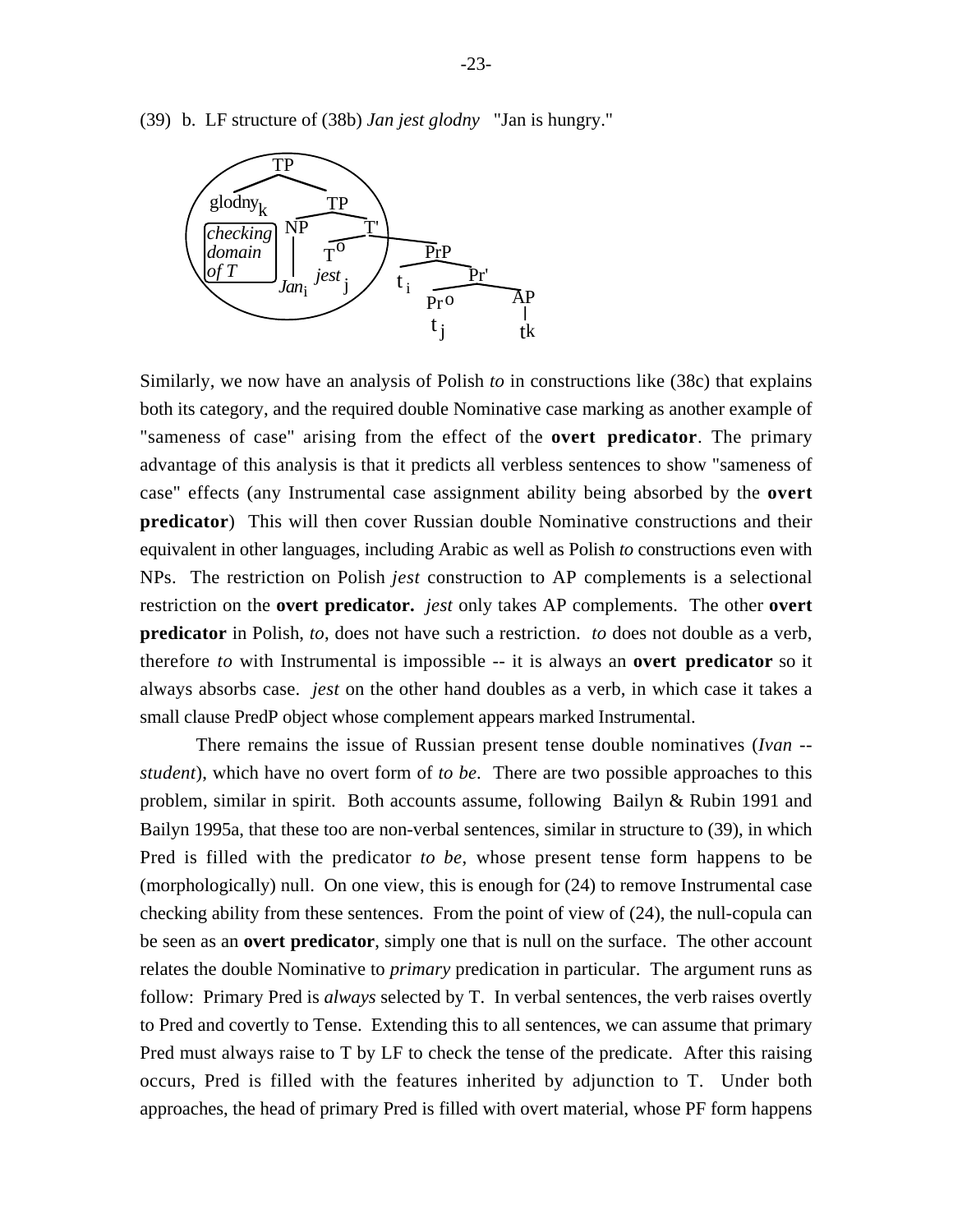(39) b. LF structure of (38b) *Jan jest glodny* "Jan is hungry."



Similarly, we now have an analysis of Polish *to* in constructions like (38c) that explains both its category, and the required double Nominative case marking as another example of "sameness of case" arising from the effect of the **overt predicator**. The primary advantage of this analysis is that it predicts all verbless sentences to show "sameness of case" effects (any Instrumental case assignment ability being absorbed by the **overt predicator**) This will then cover Russian double Nominative constructions and their equivalent in other languages, including Arabic as well as Polish *to* constructions even with NPs. The restriction on Polish *jest* construction to AP complements is a selectional restriction on the **overt predicator.** *jest* only takes AP complements. The other **overt predicator** in Polish, *to*, does not have such a restriction. *to* does not double as a verb, therefore *to* with Instrumental is impossible -- it is always an **overt predicator** so it always absorbs case. *jest* on the other hand doubles as a verb, in which case it takes a small clause PredP object whose complement appears marked Instrumental.

There remains the issue of Russian present tense double nominatives (*Ivan - student*), which have no overt form of *to be*. There are two possible approaches to this problem, similar in spirit. Both accounts assume, following Bailyn & Rubin 1991 and Bailyn 1995a, that these too are non-verbal sentences, similar in structure to (39), in which Pred is filled with the predicator *to be*, whose present tense form happens to be (morphologically) null. On one view, this is enough for (24) to remove Instrumental case checking ability from these sentences. From the point of view of (24), the null-copula can be seen as an **overt predicator**, simply one that is null on the surface. The other account relates the double Nominative to *primary* predication in particular. The argument runs as follow: Primary Pred is *always* selected by T. In verbal sentences, the verb raises overtly to Pred and covertly to Tense. Extending this to all sentences, we can assume that primary Pred must always raise to T by LF to check the tense of the predicate. After this raising occurs, Pred is filled with the features inherited by adjunction to T. Under both approaches, the head of primary Pred is filled with overt material, whose PF form happens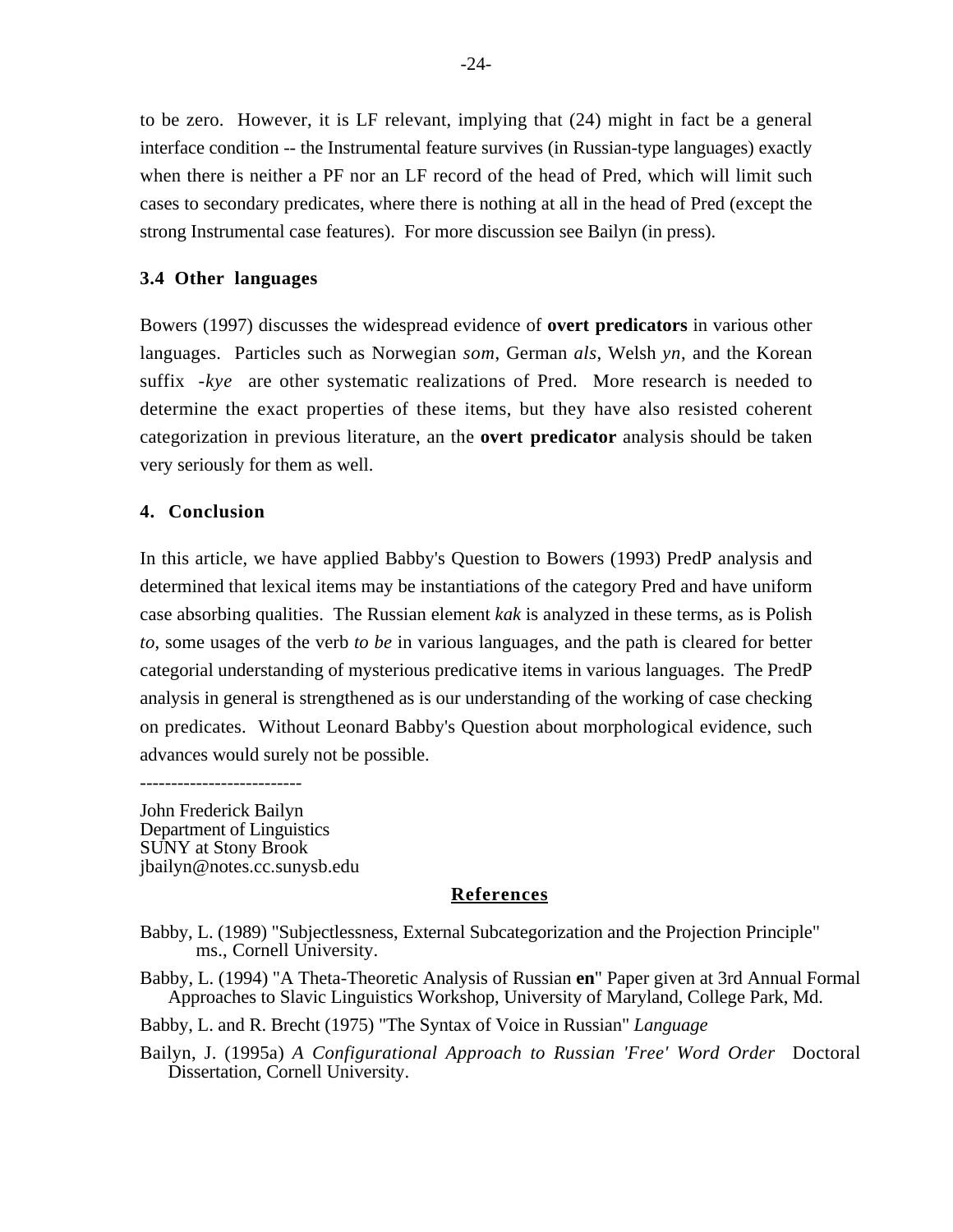to be zero. However, it is LF relevant, implying that (24) might in fact be a general interface condition -- the Instrumental feature survives (in Russian-type languages) exactly when there is neither a PF nor an LF record of the head of Pred, which will limit such cases to secondary predicates, where there is nothing at all in the head of Pred (except the strong Instrumental case features). For more discussion see Bailyn (in press).

# **3.4 Other languages**

Bowers (1997) discusses the widespread evidence of **overt predicators** in various other languages. Particles such as Norwegian *som*, German *als*, Welsh *yn*, and the Korean suffix *-kye* are other systematic realizations of Pred. More research is needed to determine the exact properties of these items, but they have also resisted coherent categorization in previous literature, an the **overt predicator** analysis should be taken very seriously for them as well.

## **4. Conclusion**

In this article, we have applied Babby's Question to Bowers (1993) PredP analysis and determined that lexical items may be instantiations of the category Pred and have uniform case absorbing qualities. The Russian element *kak* is analyzed in these terms, as is Polish *to*, some usages of the verb *to be* in various languages, and the path is cleared for better categorial understanding of mysterious predicative items in various languages. The PredP analysis in general is strengthened as is our understanding of the working of case checking on predicates. Without Leonard Babby's Question about morphological evidence, such advances would surely not be possible.

John Frederick Bailyn Department of Linguistics SUNY at Stony Brook jbailyn@notes.cc.sunysb.edu

## **References**

Babby, L. (1989) "Subjectlessness, External Subcategorization and the Projection Principle" ms., Cornell University.

Babby, L. (1994) "A Theta-Theoretic Analysis of Russian **en**" Paper given at 3rd Annual Formal Approaches to Slavic Linguistics Workshop, University of Maryland, College Park, Md.

Babby, L. and R. Brecht (1975) "The Syntax of Voice in Russian" *Language*

Bailyn, J. (1995a) *A Configurational Approach to Russian 'Free' Word Order* Doctoral Dissertation, Cornell University.